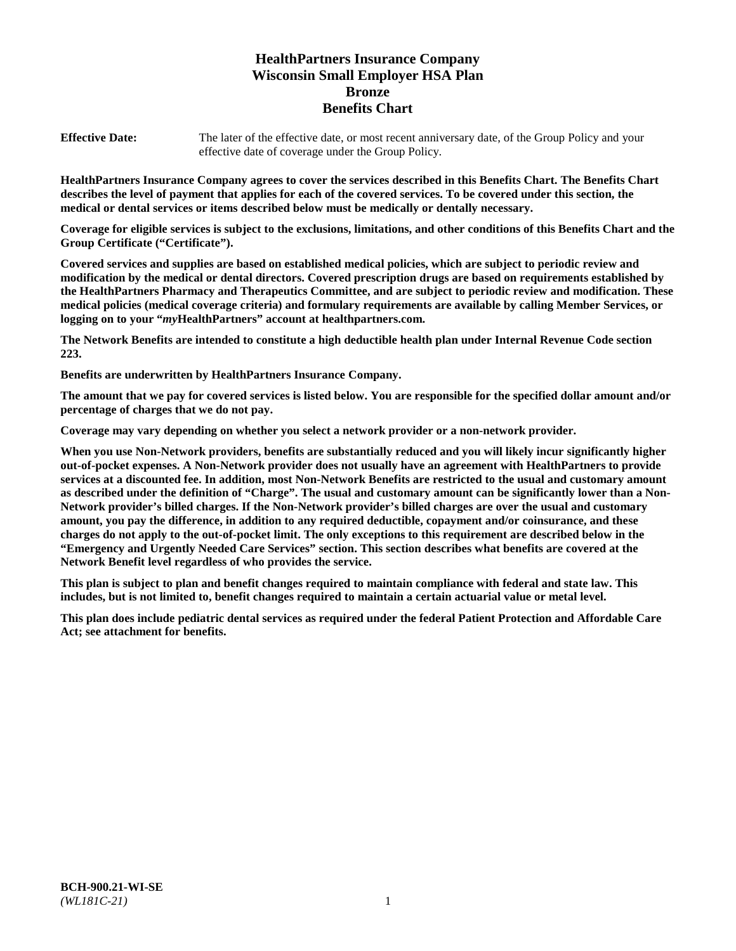# **HealthPartners Insurance Company Wisconsin Small Employer HSA Plan Bronze Benefits Chart**

**Effective Date:** The later of the effective date, or most recent anniversary date, of the Group Policy and your effective date of coverage under the Group Policy.

**HealthPartners Insurance Company agrees to cover the services described in this Benefits Chart. The Benefits Chart describes the level of payment that applies for each of the covered services. To be covered under this section, the medical or dental services or items described below must be medically or dentally necessary.**

**Coverage for eligible services is subject to the exclusions, limitations, and other conditions of this Benefits Chart and the Group Certificate ("Certificate").**

**Covered services and supplies are based on established medical policies, which are subject to periodic review and modification by the medical or dental directors. Covered prescription drugs are based on requirements established by the HealthPartners Pharmacy and Therapeutics Committee, and are subject to periodic review and modification. These medical policies (medical coverage criteria) and formulary requirements are available by calling Member Services, or logging on to your "***my***HealthPartners" account at [healthpartners.com.](https://www.healthpartners.com/hp/index.html)**

**The Network Benefits are intended to constitute a high deductible health plan under Internal Revenue Code section 223.**

**Benefits are underwritten by HealthPartners Insurance Company.**

**The amount that we pay for covered services is listed below. You are responsible for the specified dollar amount and/or percentage of charges that we do not pay.**

**Coverage may vary depending on whether you select a network provider or a non-network provider.**

**When you use Non-Network providers, benefits are substantially reduced and you will likely incur significantly higher out-of-pocket expenses. A Non-Network provider does not usually have an agreement with HealthPartners to provide services at a discounted fee. In addition, most Non-Network Benefits are restricted to the usual and customary amount as described under the definition of "Charge". The usual and customary amount can be significantly lower than a Non-Network provider's billed charges. If the Non-Network provider's billed charges are over the usual and customary amount, you pay the difference, in addition to any required deductible, copayment and/or coinsurance, and these charges do not apply to the out-of-pocket limit. The only exceptions to this requirement are described below in the "Emergency and Urgently Needed Care Services" section. This section describes what benefits are covered at the Network Benefit level regardless of who provides the service.**

**This plan is subject to plan and benefit changes required to maintain compliance with federal and state law. This includes, but is not limited to, benefit changes required to maintain a certain actuarial value or metal level.**

**This plan does include pediatric dental services as required under the federal Patient Protection and Affordable Care Act; see attachment for benefits.**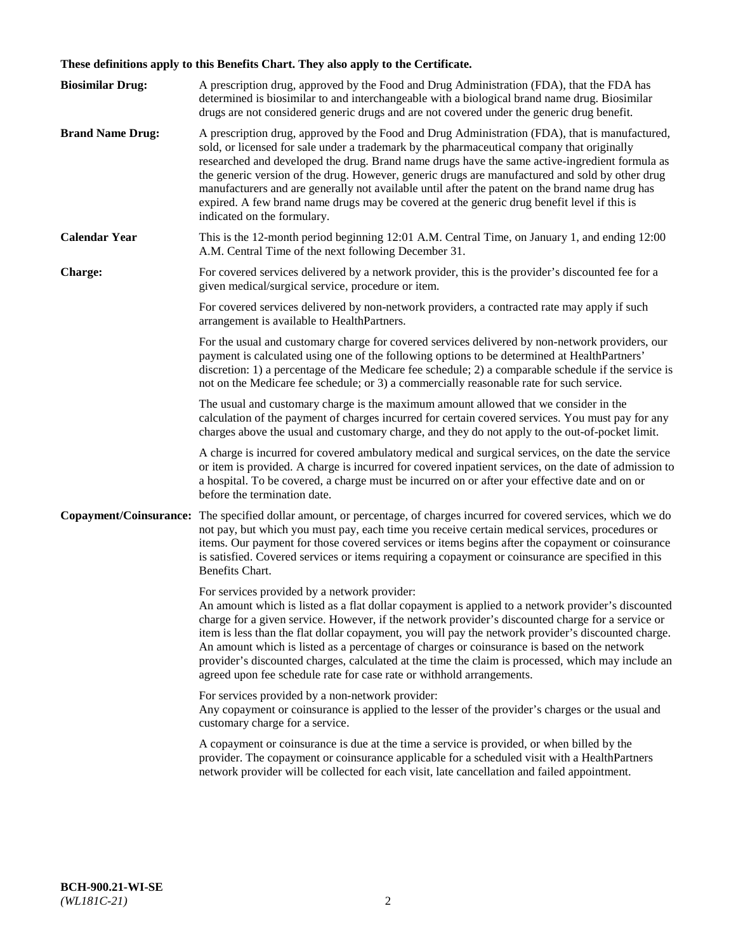# **These definitions apply to this Benefits Chart. They also apply to the Certificate.**

| <b>Biosimilar Drug:</b> | A prescription drug, approved by the Food and Drug Administration (FDA), that the FDA has<br>determined is biosimilar to and interchangeable with a biological brand name drug. Biosimilar<br>drugs are not considered generic drugs and are not covered under the generic drug benefit.                                                                                                                                                                                                                                                                                                                                                     |
|-------------------------|----------------------------------------------------------------------------------------------------------------------------------------------------------------------------------------------------------------------------------------------------------------------------------------------------------------------------------------------------------------------------------------------------------------------------------------------------------------------------------------------------------------------------------------------------------------------------------------------------------------------------------------------|
| <b>Brand Name Drug:</b> | A prescription drug, approved by the Food and Drug Administration (FDA), that is manufactured,<br>sold, or licensed for sale under a trademark by the pharmaceutical company that originally<br>researched and developed the drug. Brand name drugs have the same active-ingredient formula as<br>the generic version of the drug. However, generic drugs are manufactured and sold by other drug<br>manufacturers and are generally not available until after the patent on the brand name drug has<br>expired. A few brand name drugs may be covered at the generic drug benefit level if this is<br>indicated on the formulary.           |
| <b>Calendar Year</b>    | This is the 12-month period beginning 12:01 A.M. Central Time, on January 1, and ending 12:00<br>A.M. Central Time of the next following December 31.                                                                                                                                                                                                                                                                                                                                                                                                                                                                                        |
| <b>Charge:</b>          | For covered services delivered by a network provider, this is the provider's discounted fee for a<br>given medical/surgical service, procedure or item.                                                                                                                                                                                                                                                                                                                                                                                                                                                                                      |
|                         | For covered services delivered by non-network providers, a contracted rate may apply if such<br>arrangement is available to HealthPartners.                                                                                                                                                                                                                                                                                                                                                                                                                                                                                                  |
|                         | For the usual and customary charge for covered services delivered by non-network providers, our<br>payment is calculated using one of the following options to be determined at HealthPartners'<br>discretion: 1) a percentage of the Medicare fee schedule; 2) a comparable schedule if the service is<br>not on the Medicare fee schedule; or 3) a commercially reasonable rate for such service.                                                                                                                                                                                                                                          |
|                         | The usual and customary charge is the maximum amount allowed that we consider in the<br>calculation of the payment of charges incurred for certain covered services. You must pay for any<br>charges above the usual and customary charge, and they do not apply to the out-of-pocket limit.                                                                                                                                                                                                                                                                                                                                                 |
|                         | A charge is incurred for covered ambulatory medical and surgical services, on the date the service<br>or item is provided. A charge is incurred for covered inpatient services, on the date of admission to<br>a hospital. To be covered, a charge must be incurred on or after your effective date and on or<br>before the termination date.                                                                                                                                                                                                                                                                                                |
| Copayment/Coinsurance:  | The specified dollar amount, or percentage, of charges incurred for covered services, which we do<br>not pay, but which you must pay, each time you receive certain medical services, procedures or<br>items. Our payment for those covered services or items begins after the copayment or coinsurance<br>is satisfied. Covered services or items requiring a copayment or coinsurance are specified in this<br>Benefits Chart.                                                                                                                                                                                                             |
|                         | For services provided by a network provider:<br>An amount which is listed as a flat dollar copayment is applied to a network provider's discounted<br>charge for a given service. However, if the network provider's discounted charge for a service or<br>item is less than the flat dollar copayment, you will pay the network provider's discounted charge.<br>An amount which is listed as a percentage of charges or coinsurance is based on the network<br>provider's discounted charges, calculated at the time the claim is processed, which may include an<br>agreed upon fee schedule rate for case rate or withhold arrangements. |
|                         | For services provided by a non-network provider:<br>Any copayment or coinsurance is applied to the lesser of the provider's charges or the usual and<br>customary charge for a service.                                                                                                                                                                                                                                                                                                                                                                                                                                                      |
|                         | A copayment or coinsurance is due at the time a service is provided, or when billed by the<br>provider. The copayment or coinsurance applicable for a scheduled visit with a HealthPartners<br>network provider will be collected for each visit, late cancellation and failed appointment.                                                                                                                                                                                                                                                                                                                                                  |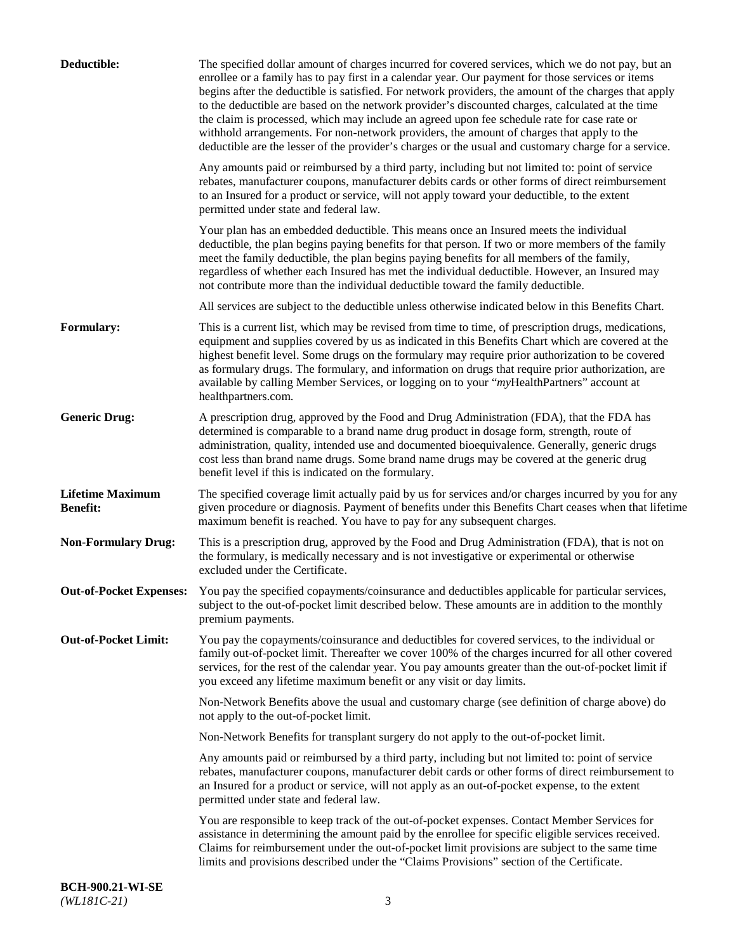| Deductible:                                | The specified dollar amount of charges incurred for covered services, which we do not pay, but an<br>enrollee or a family has to pay first in a calendar year. Our payment for those services or items<br>begins after the deductible is satisfied. For network providers, the amount of the charges that apply<br>to the deductible are based on the network provider's discounted charges, calculated at the time<br>the claim is processed, which may include an agreed upon fee schedule rate for case rate or<br>withhold arrangements. For non-network providers, the amount of charges that apply to the<br>deductible are the lesser of the provider's charges or the usual and customary charge for a service. |
|--------------------------------------------|-------------------------------------------------------------------------------------------------------------------------------------------------------------------------------------------------------------------------------------------------------------------------------------------------------------------------------------------------------------------------------------------------------------------------------------------------------------------------------------------------------------------------------------------------------------------------------------------------------------------------------------------------------------------------------------------------------------------------|
|                                            | Any amounts paid or reimbursed by a third party, including but not limited to: point of service<br>rebates, manufacturer coupons, manufacturer debits cards or other forms of direct reimbursement<br>to an Insured for a product or service, will not apply toward your deductible, to the extent<br>permitted under state and federal law.                                                                                                                                                                                                                                                                                                                                                                            |
|                                            | Your plan has an embedded deductible. This means once an Insured meets the individual<br>deductible, the plan begins paying benefits for that person. If two or more members of the family<br>meet the family deductible, the plan begins paying benefits for all members of the family,<br>regardless of whether each Insured has met the individual deductible. However, an Insured may<br>not contribute more than the individual deductible toward the family deductible.                                                                                                                                                                                                                                           |
|                                            | All services are subject to the deductible unless otherwise indicated below in this Benefits Chart.                                                                                                                                                                                                                                                                                                                                                                                                                                                                                                                                                                                                                     |
| <b>Formulary:</b>                          | This is a current list, which may be revised from time to time, of prescription drugs, medications,<br>equipment and supplies covered by us as indicated in this Benefits Chart which are covered at the<br>highest benefit level. Some drugs on the formulary may require prior authorization to be covered<br>as formulary drugs. The formulary, and information on drugs that require prior authorization, are<br>available by calling Member Services, or logging on to your "myHealthPartners" account at<br>healthpartners.com.                                                                                                                                                                                   |
| <b>Generic Drug:</b>                       | A prescription drug, approved by the Food and Drug Administration (FDA), that the FDA has<br>determined is comparable to a brand name drug product in dosage form, strength, route of<br>administration, quality, intended use and documented bioequivalence. Generally, generic drugs<br>cost less than brand name drugs. Some brand name drugs may be covered at the generic drug<br>benefit level if this is indicated on the formulary.                                                                                                                                                                                                                                                                             |
| <b>Lifetime Maximum</b><br><b>Benefit:</b> | The specified coverage limit actually paid by us for services and/or charges incurred by you for any<br>given procedure or diagnosis. Payment of benefits under this Benefits Chart ceases when that lifetime<br>maximum benefit is reached. You have to pay for any subsequent charges.                                                                                                                                                                                                                                                                                                                                                                                                                                |
| <b>Non-Formulary Drug:</b>                 | This is a prescription drug, approved by the Food and Drug Administration (FDA), that is not on<br>the formulary, is medically necessary and is not investigative or experimental or otherwise<br>excluded under the Certificate.                                                                                                                                                                                                                                                                                                                                                                                                                                                                                       |
|                                            | Out-of-Pocket Expenses: You pay the specified copayments/coinsurance and deductibles applicable for particular services,<br>subject to the out-of-pocket limit described below. These amounts are in addition to the monthly<br>premium payments.                                                                                                                                                                                                                                                                                                                                                                                                                                                                       |
| <b>Out-of-Pocket Limit:</b>                | You pay the copayments/coinsurance and deductibles for covered services, to the individual or<br>family out-of-pocket limit. Thereafter we cover 100% of the charges incurred for all other covered<br>services, for the rest of the calendar year. You pay amounts greater than the out-of-pocket limit if<br>you exceed any lifetime maximum benefit or any visit or day limits.                                                                                                                                                                                                                                                                                                                                      |
|                                            | Non-Network Benefits above the usual and customary charge (see definition of charge above) do<br>not apply to the out-of-pocket limit.                                                                                                                                                                                                                                                                                                                                                                                                                                                                                                                                                                                  |
|                                            | Non-Network Benefits for transplant surgery do not apply to the out-of-pocket limit.                                                                                                                                                                                                                                                                                                                                                                                                                                                                                                                                                                                                                                    |
|                                            | Any amounts paid or reimbursed by a third party, including but not limited to: point of service<br>rebates, manufacturer coupons, manufacturer debit cards or other forms of direct reimbursement to<br>an Insured for a product or service, will not apply as an out-of-pocket expense, to the extent<br>permitted under state and federal law.                                                                                                                                                                                                                                                                                                                                                                        |
|                                            | You are responsible to keep track of the out-of-pocket expenses. Contact Member Services for<br>assistance in determining the amount paid by the enrollee for specific eligible services received.<br>Claims for reimbursement under the out-of-pocket limit provisions are subject to the same time<br>limits and provisions described under the "Claims Provisions" section of the Certificate.                                                                                                                                                                                                                                                                                                                       |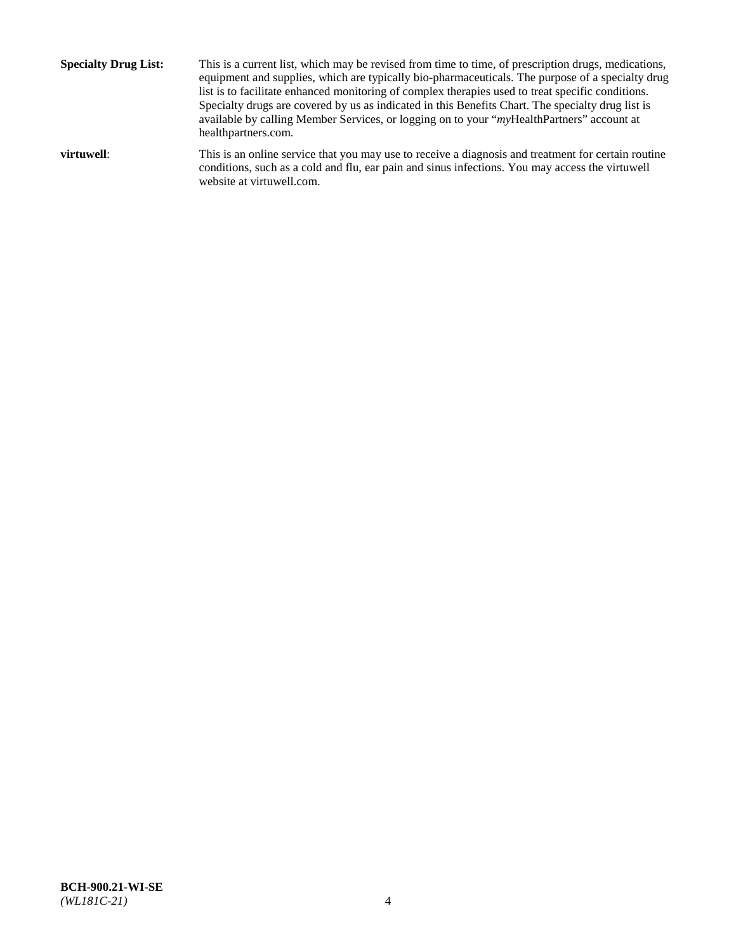**Specialty Drug List:** This is a current list, which may be revised from time to time, of prescription drugs, medications, equipment and supplies, which are typically bio-pharmaceuticals. The purpose of a specialty drug list is to facilitate enhanced monitoring of complex therapies used to treat specific conditions. Specialty drugs are covered by us as indicated in this Benefits Chart. The specialty drug list is available by calling Member Services, or logging on to your "*my*HealthPartners" account at [healthpartners.com.](http://www.healthpartners.com/) **virtuwell:** This is an online service that you may use to receive a diagnosis and treatment for certain routine conditions, such as a cold and flu, ear pain and sinus infections. You may access the virtuwell

website at [virtuwell.com.](http://www.virtuwell.com/)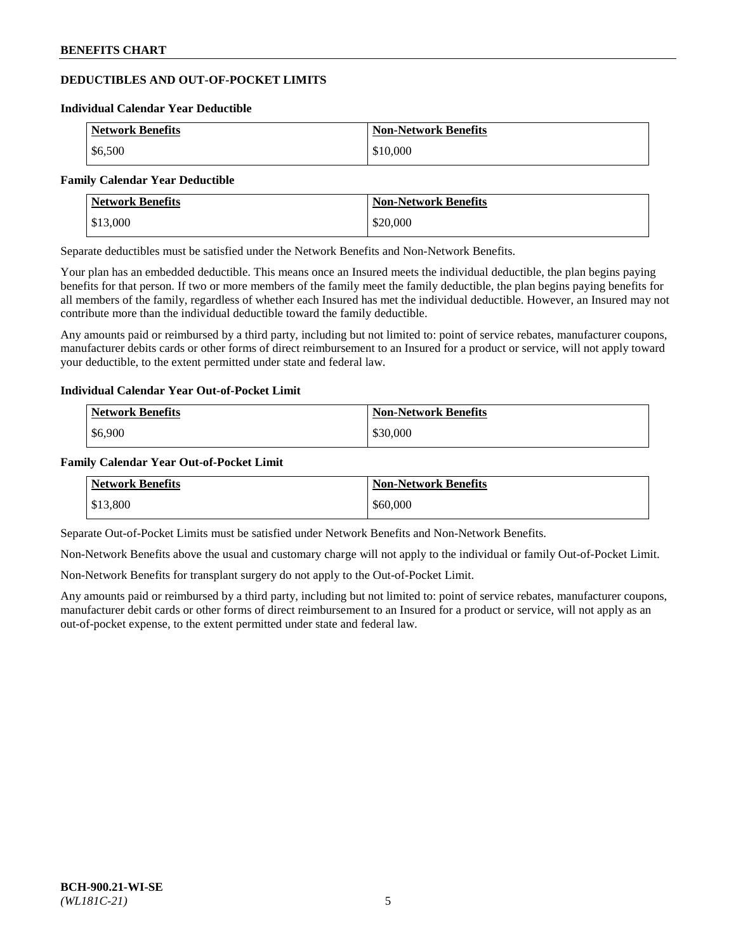## **DEDUCTIBLES AND OUT-OF-POCKET LIMITS**

#### **Individual Calendar Year Deductible**

| <b>Network Benefits</b> | <b>Non-Network Benefits</b> |
|-------------------------|-----------------------------|
| \$6,500                 | \$10,000                    |

#### **Family Calendar Year Deductible**

| <b>Network Benefits</b> | <b>Non-Network Benefits</b> |
|-------------------------|-----------------------------|
| \$13,000                | \$20,000                    |

Separate deductibles must be satisfied under the Network Benefits and Non-Network Benefits.

Your plan has an embedded deductible. This means once an Insured meets the individual deductible, the plan begins paying benefits for that person. If two or more members of the family meet the family deductible, the plan begins paying benefits for all members of the family, regardless of whether each Insured has met the individual deductible. However, an Insured may not contribute more than the individual deductible toward the family deductible.

Any amounts paid or reimbursed by a third party, including but not limited to: point of service rebates, manufacturer coupons, manufacturer debits cards or other forms of direct reimbursement to an Insured for a product or service, will not apply toward your deductible, to the extent permitted under state and federal law.

#### **Individual Calendar Year Out-of-Pocket Limit**

| <b>Network Benefits</b> | <b>Non-Network Benefits</b> |
|-------------------------|-----------------------------|
| \$6,900                 | \$30,000                    |

#### **Family Calendar Year Out-of-Pocket Limit**

| <b>Network Benefits</b> | <b>Non-Network Benefits</b> |
|-------------------------|-----------------------------|
| \$13,800                | \$60,000                    |

Separate Out-of-Pocket Limits must be satisfied under Network Benefits and Non-Network Benefits.

Non-Network Benefits above the usual and customary charge will not apply to the individual or family Out-of-Pocket Limit.

Non-Network Benefits for transplant surgery do not apply to the Out-of-Pocket Limit.

Any amounts paid or reimbursed by a third party, including but not limited to: point of service rebates, manufacturer coupons, manufacturer debit cards or other forms of direct reimbursement to an Insured for a product or service, will not apply as an out-of-pocket expense, to the extent permitted under state and federal law.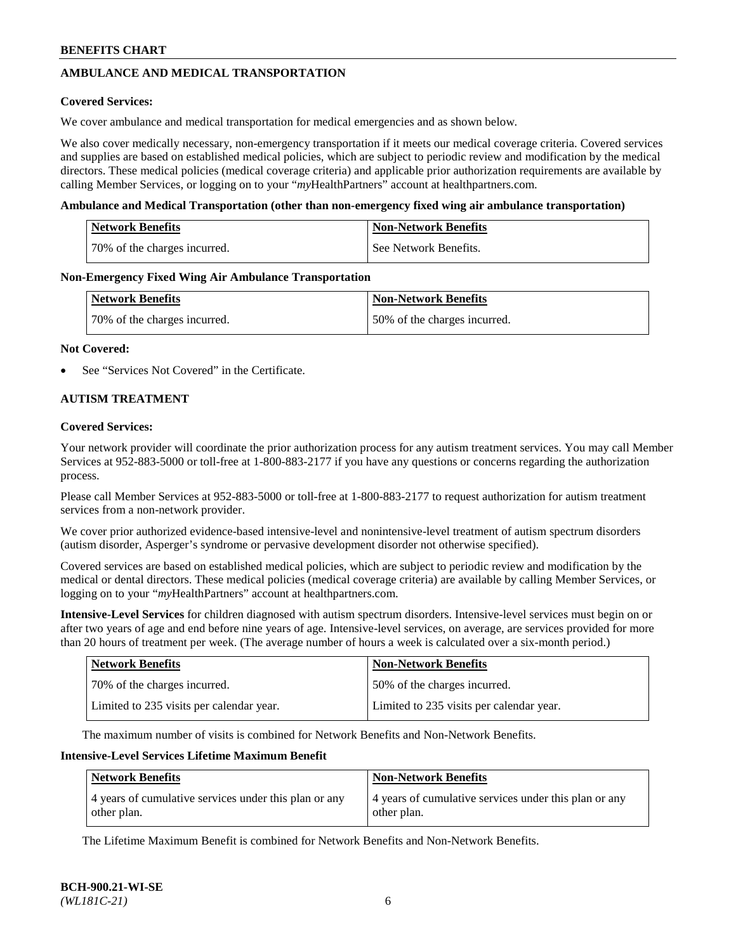## **AMBULANCE AND MEDICAL TRANSPORTATION**

### **Covered Services:**

We cover ambulance and medical transportation for medical emergencies and as shown below.

We also cover medically necessary, non-emergency transportation if it meets our medical coverage criteria. Covered services and supplies are based on established medical policies, which are subject to periodic review and modification by the medical directors. These medical policies (medical coverage criteria) and applicable prior authorization requirements are available by calling Member Services, or logging on to your "*my*HealthPartners" account a[t healthpartners.com.](https://www.healthpartners.com/hp/index.html)

### **Ambulance and Medical Transportation (other than non-emergency fixed wing air ambulance transportation)**

| <b>Network Benefits</b>      | <b>Non-Network Benefits</b> |
|------------------------------|-----------------------------|
| 70% of the charges incurred. | See Network Benefits.       |

### **Non-Emergency Fixed Wing Air Ambulance Transportation**

| <b>Network Benefits</b>      | <b>Non-Network Benefits</b>  |
|------------------------------|------------------------------|
| 70% of the charges incurred. | 50% of the charges incurred. |

### **Not Covered:**

See "Services Not Covered" in the Certificate.

## **AUTISM TREATMENT**

### **Covered Services:**

Your network provider will coordinate the prior authorization process for any autism treatment services. You may call Member Services at 952-883-5000 or toll-free at 1-800-883-2177 if you have any questions or concerns regarding the authorization process.

Please call Member Services at 952-883-5000 or toll-free at 1-800-883-2177 to request authorization for autism treatment services from a non-network provider.

We cover prior authorized evidence-based intensive-level and nonintensive-level treatment of autism spectrum disorders (autism disorder, Asperger's syndrome or pervasive development disorder not otherwise specified).

Covered services are based on established medical policies, which are subject to periodic review and modification by the medical or dental directors. These medical policies (medical coverage criteria) are available by calling Member Services, or logging on to your "*my*HealthPartners" account at [healthpartners.com.](https://www.healthpartners.com/hp/index.html)

**Intensive-Level Services** for children diagnosed with autism spectrum disorders. Intensive-level services must begin on or after two years of age and end before nine years of age. Intensive-level services, on average, are services provided for more than 20 hours of treatment per week. (The average number of hours a week is calculated over a six-month period.)

| Network Benefits                         | <b>Non-Network Benefits</b>              |
|------------------------------------------|------------------------------------------|
| 70% of the charges incurred.             | 50% of the charges incurred.             |
| Limited to 235 visits per calendar year. | Limited to 235 visits per calendar year. |

The maximum number of visits is combined for Network Benefits and Non-Network Benefits.

### **Intensive-Level Services Lifetime Maximum Benefit**

| <b>Network Benefits</b>                                              | <b>Non-Network Benefits</b>                                          |
|----------------------------------------------------------------------|----------------------------------------------------------------------|
| 4 years of cumulative services under this plan or any<br>other plan. | 4 years of cumulative services under this plan or any<br>other plan. |

The Lifetime Maximum Benefit is combined for Network Benefits and Non-Network Benefits.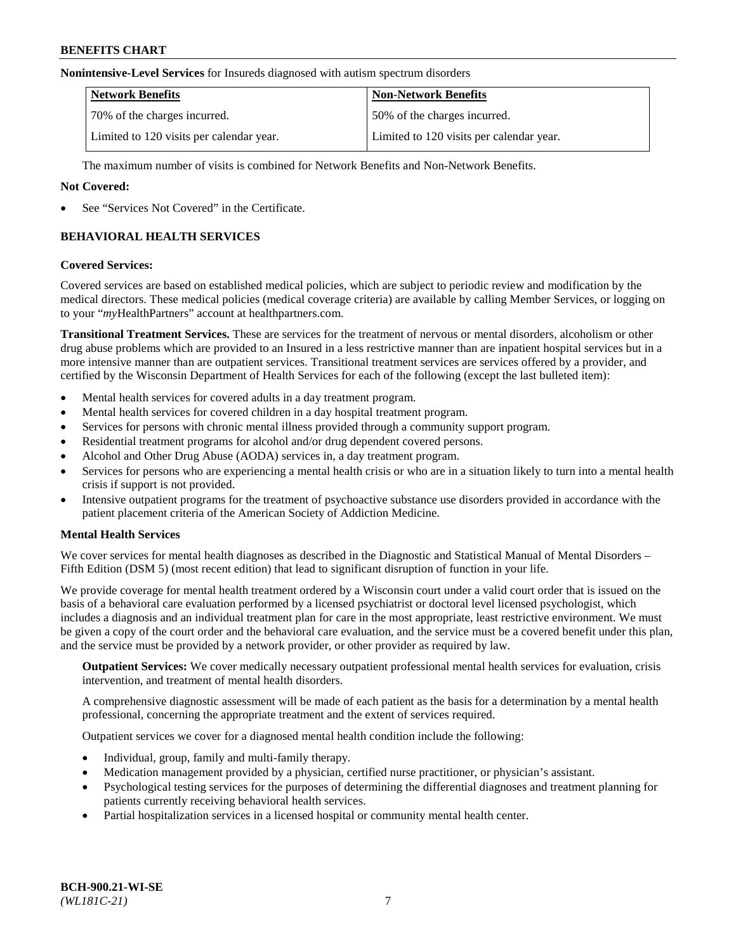#### **Nonintensive-Level Services** for Insureds diagnosed with autism spectrum disorders

| <b>Network Benefits</b>                  | <b>Non-Network Benefits</b>              |
|------------------------------------------|------------------------------------------|
| 70% of the charges incurred.             | 50% of the charges incurred.             |
| Limited to 120 visits per calendar year. | Limited to 120 visits per calendar year. |

The maximum number of visits is combined for Network Benefits and Non-Network Benefits.

### **Not Covered:**

See "Services Not Covered" in the Certificate.

## **BEHAVIORAL HEALTH SERVICES**

### **Covered Services:**

Covered services are based on established medical policies, which are subject to periodic review and modification by the medical directors. These medical policies (medical coverage criteria) are available by calling Member Services, or logging on to your "*my*HealthPartners" account at [healthpartners.com.](https://www.healthpartners.com/hp/index.html)

**Transitional Treatment Services.** These are services for the treatment of nervous or mental disorders, alcoholism or other drug abuse problems which are provided to an Insured in a less restrictive manner than are inpatient hospital services but in a more intensive manner than are outpatient services. Transitional treatment services are services offered by a provider, and certified by the Wisconsin Department of Health Services for each of the following (except the last bulleted item):

- Mental health services for covered adults in a day treatment program.
- Mental health services for covered children in a day hospital treatment program.
- Services for persons with chronic mental illness provided through a community support program.
- Residential treatment programs for alcohol and/or drug dependent covered persons.
- Alcohol and Other Drug Abuse (AODA) services in, a day treatment program.
- Services for persons who are experiencing a mental health crisis or who are in a situation likely to turn into a mental health crisis if support is not provided.
- Intensive outpatient programs for the treatment of psychoactive substance use disorders provided in accordance with the patient placement criteria of the American Society of Addiction Medicine.

## **Mental Health Services**

We cover services for mental health diagnoses as described in the Diagnostic and Statistical Manual of Mental Disorders – Fifth Edition (DSM 5) (most recent edition) that lead to significant disruption of function in your life.

We provide coverage for mental health treatment ordered by a Wisconsin court under a valid court order that is issued on the basis of a behavioral care evaluation performed by a licensed psychiatrist or doctoral level licensed psychologist, which includes a diagnosis and an individual treatment plan for care in the most appropriate, least restrictive environment. We must be given a copy of the court order and the behavioral care evaluation, and the service must be a covered benefit under this plan, and the service must be provided by a network provider, or other provider as required by law.

**Outpatient Services:** We cover medically necessary outpatient professional mental health services for evaluation, crisis intervention, and treatment of mental health disorders.

A comprehensive diagnostic assessment will be made of each patient as the basis for a determination by a mental health professional, concerning the appropriate treatment and the extent of services required.

Outpatient services we cover for a diagnosed mental health condition include the following:

- Individual, group, family and multi-family therapy.
- Medication management provided by a physician, certified nurse practitioner, or physician's assistant.
- Psychological testing services for the purposes of determining the differential diagnoses and treatment planning for patients currently receiving behavioral health services.
- Partial hospitalization services in a licensed hospital or community mental health center.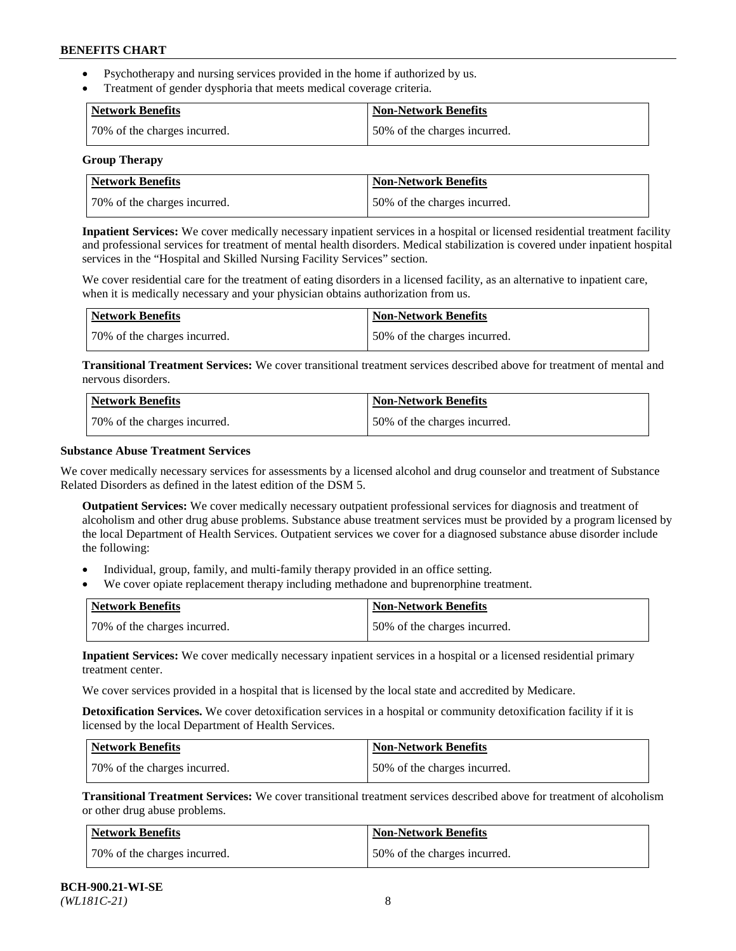- Psychotherapy and nursing services provided in the home if authorized by us.
- Treatment of gender dysphoria that meets medical coverage criteria.

| Network Benefits             | <b>Non-Network Benefits</b>  |
|------------------------------|------------------------------|
| 70% of the charges incurred. | 50% of the charges incurred. |

#### **Group Therapy**

| Network Benefits             | <b>Non-Network Benefits</b>  |
|------------------------------|------------------------------|
| 70% of the charges incurred. | 50% of the charges incurred. |

**Inpatient Services:** We cover medically necessary inpatient services in a hospital or licensed residential treatment facility and professional services for treatment of mental health disorders. Medical stabilization is covered under inpatient hospital services in the "Hospital and Skilled Nursing Facility Services" section.

We cover residential care for the treatment of eating disorders in a licensed facility, as an alternative to inpatient care, when it is medically necessary and your physician obtains authorization from us.

| Network Benefits             | Non-Network Benefits         |
|------------------------------|------------------------------|
| 70% of the charges incurred. | 50% of the charges incurred. |

**Transitional Treatment Services:** We cover transitional treatment services described above for treatment of mental and nervous disorders.

| Network Benefits             | Non-Network Benefits         |
|------------------------------|------------------------------|
| 70% of the charges incurred. | 50% of the charges incurred. |

### **Substance Abuse Treatment Services**

We cover medically necessary services for assessments by a licensed alcohol and drug counselor and treatment of Substance Related Disorders as defined in the latest edition of the DSM 5.

**Outpatient Services:** We cover medically necessary outpatient professional services for diagnosis and treatment of alcoholism and other drug abuse problems. Substance abuse treatment services must be provided by a program licensed by the local Department of Health Services. Outpatient services we cover for a diagnosed substance abuse disorder include the following:

- Individual, group, family, and multi-family therapy provided in an office setting.
- We cover opiate replacement therapy including methadone and buprenorphine treatment.

| <b>Network Benefits</b>      | <b>Non-Network Benefits</b>  |
|------------------------------|------------------------------|
| 70% of the charges incurred. | 50% of the charges incurred. |

**Inpatient Services:** We cover medically necessary inpatient services in a hospital or a licensed residential primary treatment center.

We cover services provided in a hospital that is licensed by the local state and accredited by Medicare.

**Detoxification Services.** We cover detoxification services in a hospital or community detoxification facility if it is licensed by the local Department of Health Services.

| Network Benefits             | <b>Non-Network Benefits</b>  |
|------------------------------|------------------------------|
| 70% of the charges incurred. | 50% of the charges incurred. |

**Transitional Treatment Services:** We cover transitional treatment services described above for treatment of alcoholism or other drug abuse problems.

| Network Benefits             | <b>Non-Network Benefits</b>  |
|------------------------------|------------------------------|
| 70% of the charges incurred. | 50% of the charges incurred. |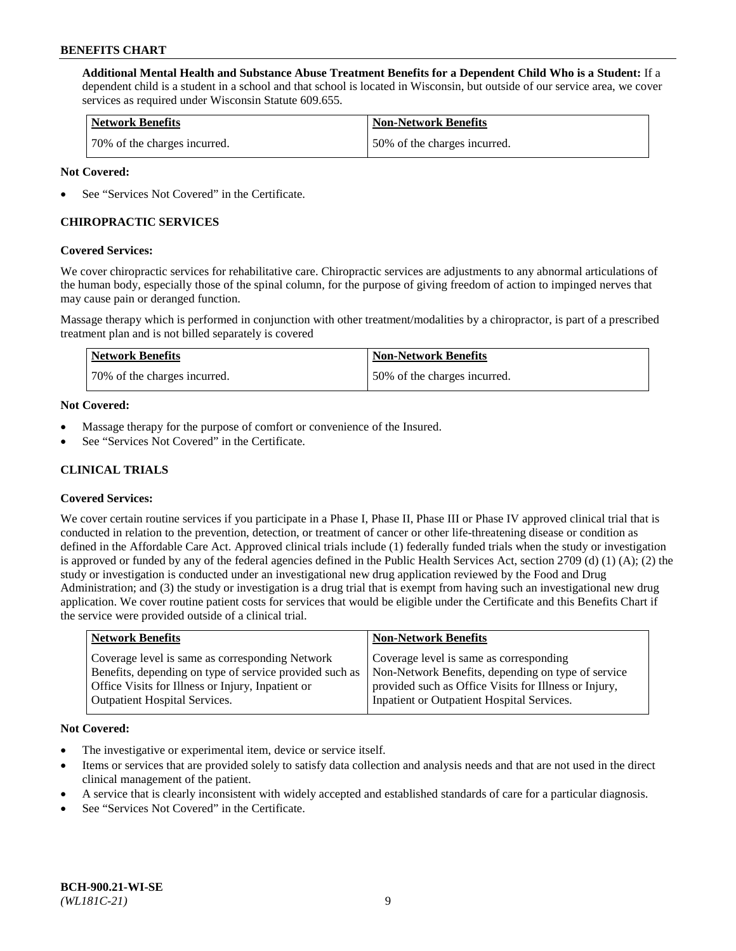**Additional Mental Health and Substance Abuse Treatment Benefits for a Dependent Child Who is a Student:** If a dependent child is a student in a school and that school is located in Wisconsin, but outside of our service area, we cover services as required under Wisconsin Statute 609.655.

| <b>Network Benefits</b>      | <b>Non-Network Benefits</b>  |
|------------------------------|------------------------------|
| 70% of the charges incurred. | 50% of the charges incurred. |

### **Not Covered:**

See "Services Not Covered" in the Certificate.

## **CHIROPRACTIC SERVICES**

### **Covered Services:**

We cover chiropractic services for rehabilitative care. Chiropractic services are adjustments to any abnormal articulations of the human body, especially those of the spinal column, for the purpose of giving freedom of action to impinged nerves that may cause pain or deranged function.

Massage therapy which is performed in conjunction with other treatment/modalities by a chiropractor, is part of a prescribed treatment plan and is not billed separately is covered

| Network Benefits             | <b>Non-Network Benefits</b>  |
|------------------------------|------------------------------|
| 70% of the charges incurred. | 50% of the charges incurred. |

### **Not Covered:**

- Massage therapy for the purpose of comfort or convenience of the Insured.
- See "Services Not Covered" in the Certificate.

## **CLINICAL TRIALS**

## **Covered Services:**

We cover certain routine services if you participate in a Phase I, Phase II, Phase III or Phase IV approved clinical trial that is conducted in relation to the prevention, detection, or treatment of cancer or other life-threatening disease or condition as defined in the Affordable Care Act. Approved clinical trials include (1) federally funded trials when the study or investigation is approved or funded by any of the federal agencies defined in the Public Health Services Act, section 2709 (d) (1) (A); (2) the study or investigation is conducted under an investigational new drug application reviewed by the Food and Drug Administration; and (3) the study or investigation is a drug trial that is exempt from having such an investigational new drug application. We cover routine patient costs for services that would be eligible under the Certificate and this Benefits Chart if the service were provided outside of a clinical trial.

| <b>Network Benefits</b>                                                                                                                                                                                 | <b>Non-Network Benefits</b>                                                                                                                                                                          |
|---------------------------------------------------------------------------------------------------------------------------------------------------------------------------------------------------------|------------------------------------------------------------------------------------------------------------------------------------------------------------------------------------------------------|
| Coverage level is same as corresponding Network<br>Benefits, depending on type of service provided such as<br>Office Visits for Illness or Injury, Inpatient or<br><b>Outpatient Hospital Services.</b> | Coverage level is same as corresponding<br>Non-Network Benefits, depending on type of service<br>provided such as Office Visits for Illness or Injury,<br>Inpatient or Outpatient Hospital Services. |
|                                                                                                                                                                                                         |                                                                                                                                                                                                      |

#### **Not Covered:**

- The investigative or experimental item, device or service itself.
- Items or services that are provided solely to satisfy data collection and analysis needs and that are not used in the direct clinical management of the patient.
- A service that is clearly inconsistent with widely accepted and established standards of care for a particular diagnosis.
- See "Services Not Covered" in the Certificate.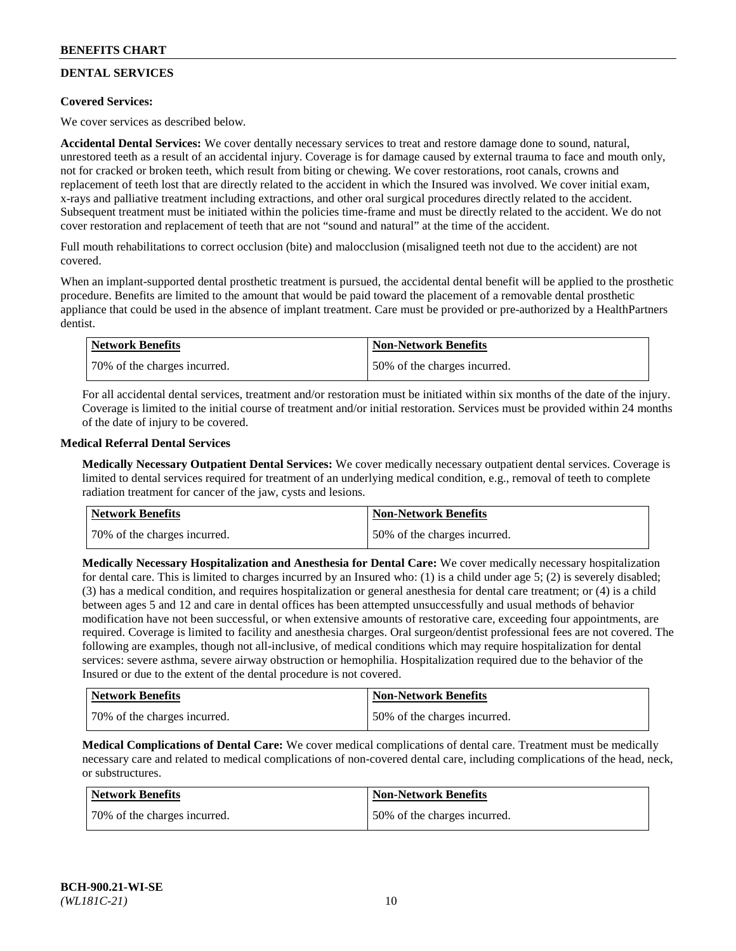## **DENTAL SERVICES**

## **Covered Services:**

We cover services as described below.

**Accidental Dental Services:** We cover dentally necessary services to treat and restore damage done to sound, natural, unrestored teeth as a result of an accidental injury. Coverage is for damage caused by external trauma to face and mouth only, not for cracked or broken teeth, which result from biting or chewing. We cover restorations, root canals, crowns and replacement of teeth lost that are directly related to the accident in which the Insured was involved. We cover initial exam, x-rays and palliative treatment including extractions, and other oral surgical procedures directly related to the accident. Subsequent treatment must be initiated within the policies time-frame and must be directly related to the accident. We do not cover restoration and replacement of teeth that are not "sound and natural" at the time of the accident.

Full mouth rehabilitations to correct occlusion (bite) and malocclusion (misaligned teeth not due to the accident) are not covered.

When an implant-supported dental prosthetic treatment is pursued, the accidental dental benefit will be applied to the prosthetic procedure. Benefits are limited to the amount that would be paid toward the placement of a removable dental prosthetic appliance that could be used in the absence of implant treatment. Care must be provided or pre-authorized by a HealthPartners dentist.

| Network Benefits             | <b>Non-Network Benefits</b>  |
|------------------------------|------------------------------|
| 70% of the charges incurred. | 50% of the charges incurred. |

For all accidental dental services, treatment and/or restoration must be initiated within six months of the date of the injury. Coverage is limited to the initial course of treatment and/or initial restoration. Services must be provided within 24 months of the date of injury to be covered.

### **Medical Referral Dental Services**

**Medically Necessary Outpatient Dental Services:** We cover medically necessary outpatient dental services. Coverage is limited to dental services required for treatment of an underlying medical condition, e.g., removal of teeth to complete radiation treatment for cancer of the jaw, cysts and lesions.

| <b>Network Benefits</b>      | <b>Non-Network Benefits</b>  |
|------------------------------|------------------------------|
| 70% of the charges incurred. | 50% of the charges incurred. |

**Medically Necessary Hospitalization and Anesthesia for Dental Care:** We cover medically necessary hospitalization for dental care. This is limited to charges incurred by an Insured who: (1) is a child under age  $5$ ; (2) is severely disabled; (3) has a medical condition, and requires hospitalization or general anesthesia for dental care treatment; or (4) is a child between ages 5 and 12 and care in dental offices has been attempted unsuccessfully and usual methods of behavior modification have not been successful, or when extensive amounts of restorative care, exceeding four appointments, are required. Coverage is limited to facility and anesthesia charges. Oral surgeon/dentist professional fees are not covered. The following are examples, though not all-inclusive, of medical conditions which may require hospitalization for dental services: severe asthma, severe airway obstruction or hemophilia. Hospitalization required due to the behavior of the Insured or due to the extent of the dental procedure is not covered.

| Network Benefits             | <b>Non-Network Benefits</b>  |
|------------------------------|------------------------------|
| 70% of the charges incurred. | 50% of the charges incurred. |

**Medical Complications of Dental Care:** We cover medical complications of dental care. Treatment must be medically necessary care and related to medical complications of non-covered dental care, including complications of the head, neck, or substructures.

| Network Benefits             | Non-Network Benefits         |
|------------------------------|------------------------------|
| 70% of the charges incurred. | 50% of the charges incurred. |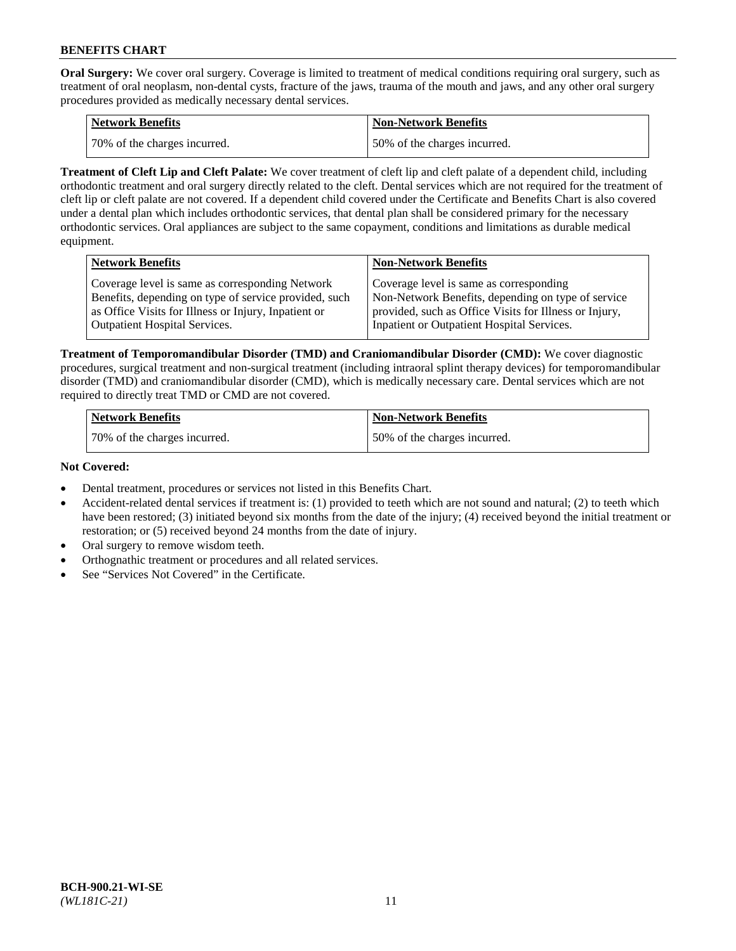**Oral Surgery:** We cover oral surgery. Coverage is limited to treatment of medical conditions requiring oral surgery, such as treatment of oral neoplasm, non-dental cysts, fracture of the jaws, trauma of the mouth and jaws, and any other oral surgery procedures provided as medically necessary dental services.

| <b>Network Benefits</b>       | <b>Non-Network Benefits</b>  |
|-------------------------------|------------------------------|
| 170% of the charges incurred. | 50% of the charges incurred. |

**Treatment of Cleft Lip and Cleft Palate:** We cover treatment of cleft lip and cleft palate of a dependent child, including orthodontic treatment and oral surgery directly related to the cleft. Dental services which are not required for the treatment of cleft lip or cleft palate are not covered. If a dependent child covered under the Certificate and Benefits Chart is also covered under a dental plan which includes orthodontic services, that dental plan shall be considered primary for the necessary orthodontic services. Oral appliances are subject to the same copayment, conditions and limitations as durable medical equipment.

| <b>Network Benefits</b>                               | <b>Non-Network Benefits</b>                            |
|-------------------------------------------------------|--------------------------------------------------------|
| Coverage level is same as corresponding Network       | Coverage level is same as corresponding                |
| Benefits, depending on type of service provided, such | Non-Network Benefits, depending on type of service     |
| as Office Visits for Illness or Injury, Inpatient or  | provided, such as Office Visits for Illness or Injury, |
| Outpatient Hospital Services.                         | Inpatient or Outpatient Hospital Services.             |

**Treatment of Temporomandibular Disorder (TMD) and Craniomandibular Disorder (CMD):** We cover diagnostic procedures, surgical treatment and non-surgical treatment (including intraoral splint therapy devices) for temporomandibular disorder (TMD) and craniomandibular disorder (CMD), which is medically necessary care. Dental services which are not required to directly treat TMD or CMD are not covered.

| <b>Network Benefits</b>      | <b>Non-Network Benefits</b>  |
|------------------------------|------------------------------|
| 70% of the charges incurred. | 50% of the charges incurred. |

### **Not Covered:**

- Dental treatment, procedures or services not listed in this Benefits Chart.
- Accident-related dental services if treatment is: (1) provided to teeth which are not sound and natural; (2) to teeth which have been restored; (3) initiated beyond six months from the date of the injury; (4) received beyond the initial treatment or restoration; or (5) received beyond 24 months from the date of injury.
- Oral surgery to remove wisdom teeth.
- Orthognathic treatment or procedures and all related services.
- See "Services Not Covered" in the Certificate.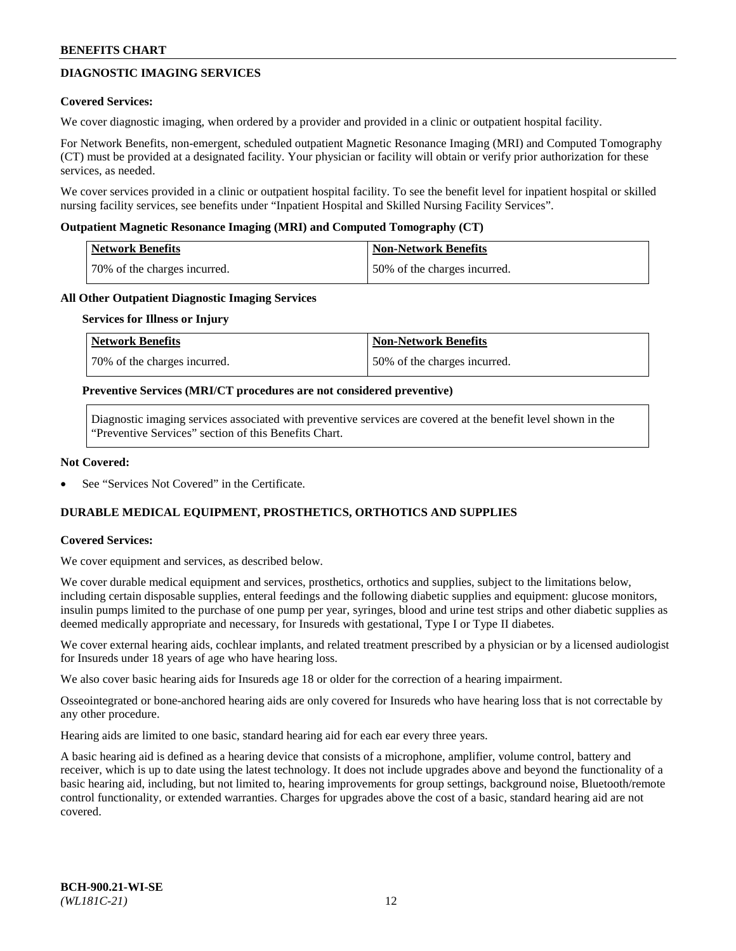## **DIAGNOSTIC IMAGING SERVICES**

### **Covered Services:**

We cover diagnostic imaging, when ordered by a provider and provided in a clinic or outpatient hospital facility.

For Network Benefits, non-emergent, scheduled outpatient Magnetic Resonance Imaging (MRI) and Computed Tomography (CT) must be provided at a designated facility. Your physician or facility will obtain or verify prior authorization for these services, as needed.

We cover services provided in a clinic or outpatient hospital facility. To see the benefit level for inpatient hospital or skilled nursing facility services, see benefits under "Inpatient Hospital and Skilled Nursing Facility Services".

### **Outpatient Magnetic Resonance Imaging (MRI) and Computed Tomography (CT)**

| <b>Network Benefits</b>      | <b>Non-Network Benefits</b>  |
|------------------------------|------------------------------|
| 70% of the charges incurred. | 50% of the charges incurred. |

### **All Other Outpatient Diagnostic Imaging Services**

#### **Services for Illness or Injury**

| Network Benefits             | <b>Non-Network Benefits</b>  |
|------------------------------|------------------------------|
| 70% of the charges incurred. | 50% of the charges incurred. |

### **Preventive Services (MRI/CT procedures are not considered preventive)**

Diagnostic imaging services associated with preventive services are covered at the benefit level shown in the "Preventive Services" section of this Benefits Chart.

### **Not Covered:**

See "Services Not Covered" in the Certificate.

## **DURABLE MEDICAL EQUIPMENT, PROSTHETICS, ORTHOTICS AND SUPPLIES**

#### **Covered Services:**

We cover equipment and services, as described below.

We cover durable medical equipment and services, prosthetics, orthotics and supplies, subject to the limitations below, including certain disposable supplies, enteral feedings and the following diabetic supplies and equipment: glucose monitors, insulin pumps limited to the purchase of one pump per year, syringes, blood and urine test strips and other diabetic supplies as deemed medically appropriate and necessary, for Insureds with gestational, Type I or Type II diabetes.

We cover external hearing aids, cochlear implants, and related treatment prescribed by a physician or by a licensed audiologist for Insureds under 18 years of age who have hearing loss.

We also cover basic hearing aids for Insureds age 18 or older for the correction of a hearing impairment.

Osseointegrated or bone-anchored hearing aids are only covered for Insureds who have hearing loss that is not correctable by any other procedure.

Hearing aids are limited to one basic, standard hearing aid for each ear every three years.

A basic hearing aid is defined as a hearing device that consists of a microphone, amplifier, volume control, battery and receiver, which is up to date using the latest technology. It does not include upgrades above and beyond the functionality of a basic hearing aid, including, but not limited to, hearing improvements for group settings, background noise, Bluetooth/remote control functionality, or extended warranties. Charges for upgrades above the cost of a basic, standard hearing aid are not covered.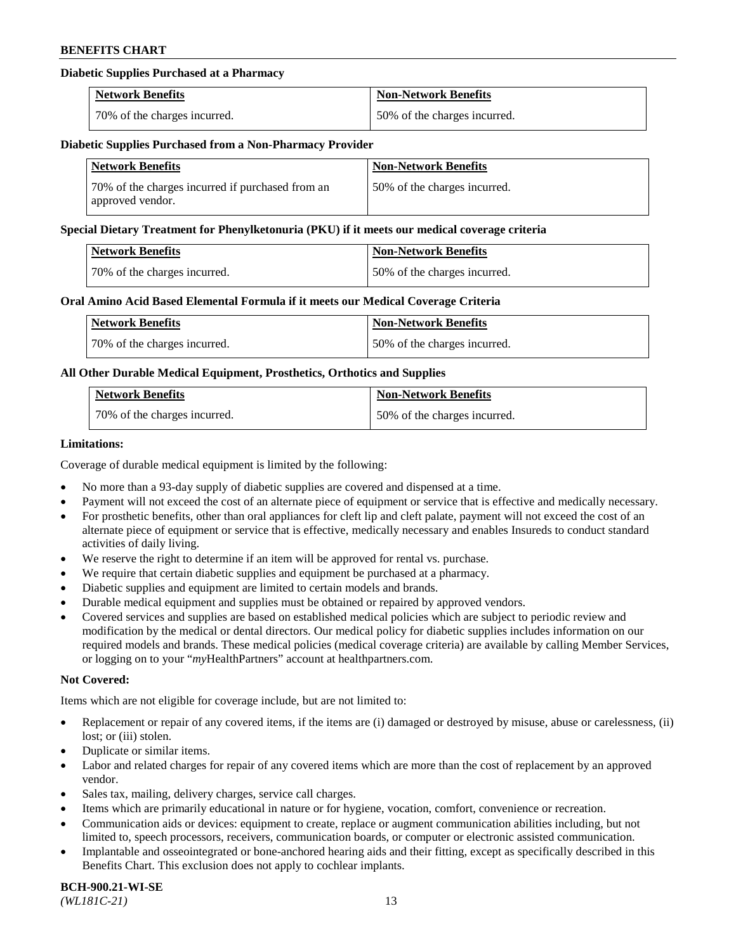## **Diabetic Supplies Purchased at a Pharmacy**

| <b>Network Benefits</b>      | <b>Non-Network Benefits</b>  |
|------------------------------|------------------------------|
| 70% of the charges incurred. | 50% of the charges incurred. |

#### **Diabetic Supplies Purchased from a Non-Pharmacy Provider**

| <b>Network Benefits</b>                                              | <b>Non-Network Benefits</b>  |
|----------------------------------------------------------------------|------------------------------|
| 70% of the charges incurred if purchased from an<br>approved vendor. | 50% of the charges incurred. |

#### **Special Dietary Treatment for Phenylketonuria (PKU) if it meets our medical coverage criteria**

| Network Benefits             | Non-Network Benefits         |
|------------------------------|------------------------------|
| 70% of the charges incurred. | 50% of the charges incurred. |

### **Oral Amino Acid Based Elemental Formula if it meets our Medical Coverage Criteria**

| Network Benefits             | <b>Non-Network Benefits</b>  |
|------------------------------|------------------------------|
| 70% of the charges incurred. | 50% of the charges incurred. |

## **All Other Durable Medical Equipment, Prosthetics, Orthotics and Supplies**

| <b>Network Benefits</b>      | <b>Non-Network Benefits</b>  |
|------------------------------|------------------------------|
| 70% of the charges incurred. | 50% of the charges incurred. |

### **Limitations:**

Coverage of durable medical equipment is limited by the following:

- No more than a 93-day supply of diabetic supplies are covered and dispensed at a time.
- Payment will not exceed the cost of an alternate piece of equipment or service that is effective and medically necessary.
- For prosthetic benefits, other than oral appliances for cleft lip and cleft palate, payment will not exceed the cost of an alternate piece of equipment or service that is effective, medically necessary and enables Insureds to conduct standard activities of daily living.
- We reserve the right to determine if an item will be approved for rental vs. purchase.
- We require that certain diabetic supplies and equipment be purchased at a pharmacy.
- Diabetic supplies and equipment are limited to certain models and brands.
- Durable medical equipment and supplies must be obtained or repaired by approved vendors.
- Covered services and supplies are based on established medical policies which are subject to periodic review and modification by the medical or dental directors. Our medical policy for diabetic supplies includes information on our required models and brands. These medical policies (medical coverage criteria) are available by calling Member Services, or logging on to your "*my*HealthPartners" account a[t healthpartners.com.](https://www.healthpartners.com/hp/index.html)

#### **Not Covered:**

Items which are not eligible for coverage include, but are not limited to:

- Replacement or repair of any covered items, if the items are (i) damaged or destroyed by misuse, abuse or carelessness, (ii) lost; or (iii) stolen.
- Duplicate or similar items.
- Labor and related charges for repair of any covered items which are more than the cost of replacement by an approved vendor.
- Sales tax, mailing, delivery charges, service call charges.
- Items which are primarily educational in nature or for hygiene, vocation, comfort, convenience or recreation.
- Communication aids or devices: equipment to create, replace or augment communication abilities including, but not limited to, speech processors, receivers, communication boards, or computer or electronic assisted communication.
- Implantable and osseointegrated or bone-anchored hearing aids and their fitting, except as specifically described in this Benefits Chart. This exclusion does not apply to cochlear implants.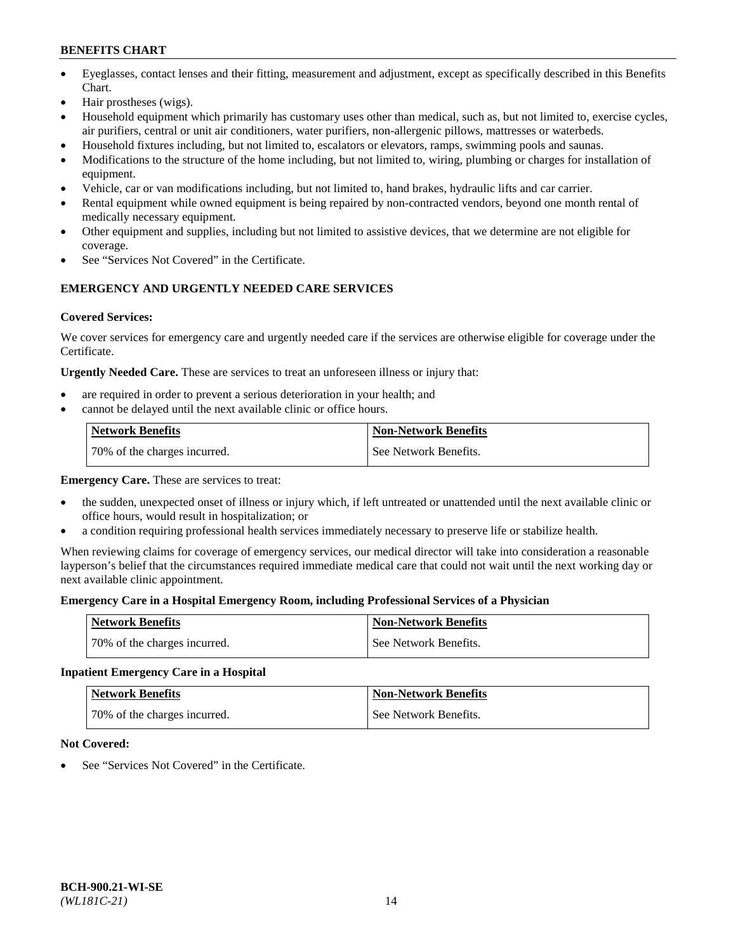- Eyeglasses, contact lenses and their fitting, measurement and adjustment, except as specifically described in this Benefits Chart.
- Hair prostheses (wigs).
- Household equipment which primarily has customary uses other than medical, such as, but not limited to, exercise cycles, air purifiers, central or unit air conditioners, water purifiers, non-allergenic pillows, mattresses or waterbeds.
- Household fixtures including, but not limited to, escalators or elevators, ramps, swimming pools and saunas.
- Modifications to the structure of the home including, but not limited to, wiring, plumbing or charges for installation of equipment.
- Vehicle, car or van modifications including, but not limited to, hand brakes, hydraulic lifts and car carrier.
- Rental equipment while owned equipment is being repaired by non-contracted vendors, beyond one month rental of medically necessary equipment.
- Other equipment and supplies, including but not limited to assistive devices, that we determine are not eligible for coverage.
- See "Services Not Covered" in the Certificate.

## **EMERGENCY AND URGENTLY NEEDED CARE SERVICES**

## **Covered Services:**

We cover services for emergency care and urgently needed care if the services are otherwise eligible for coverage under the Certificate.

**Urgently Needed Care.** These are services to treat an unforeseen illness or injury that:

- are required in order to prevent a serious deterioration in your health; and
- cannot be delayed until the next available clinic or office hours.

| <b>Network Benefits</b>      | <b>Non-Network Benefits</b> |
|------------------------------|-----------------------------|
| 70% of the charges incurred. | See Network Benefits.       |

**Emergency Care.** These are services to treat:

- the sudden, unexpected onset of illness or injury which, if left untreated or unattended until the next available clinic or office hours, would result in hospitalization; or
- a condition requiring professional health services immediately necessary to preserve life or stabilize health.

When reviewing claims for coverage of emergency services, our medical director will take into consideration a reasonable layperson's belief that the circumstances required immediate medical care that could not wait until the next working day or next available clinic appointment.

## **Emergency Care in a Hospital Emergency Room, including Professional Services of a Physician**

| <b>Network Benefits</b>      | <b>Non-Network Benefits</b> |
|------------------------------|-----------------------------|
| 70% of the charges incurred. | See Network Benefits.       |

## **Inpatient Emergency Care in a Hospital**

| <b>Network Benefits</b>      | <b>Non-Network Benefits</b> |
|------------------------------|-----------------------------|
| 70% of the charges incurred. | See Network Benefits.       |

## **Not Covered:**

See "Services Not Covered" in the Certificate.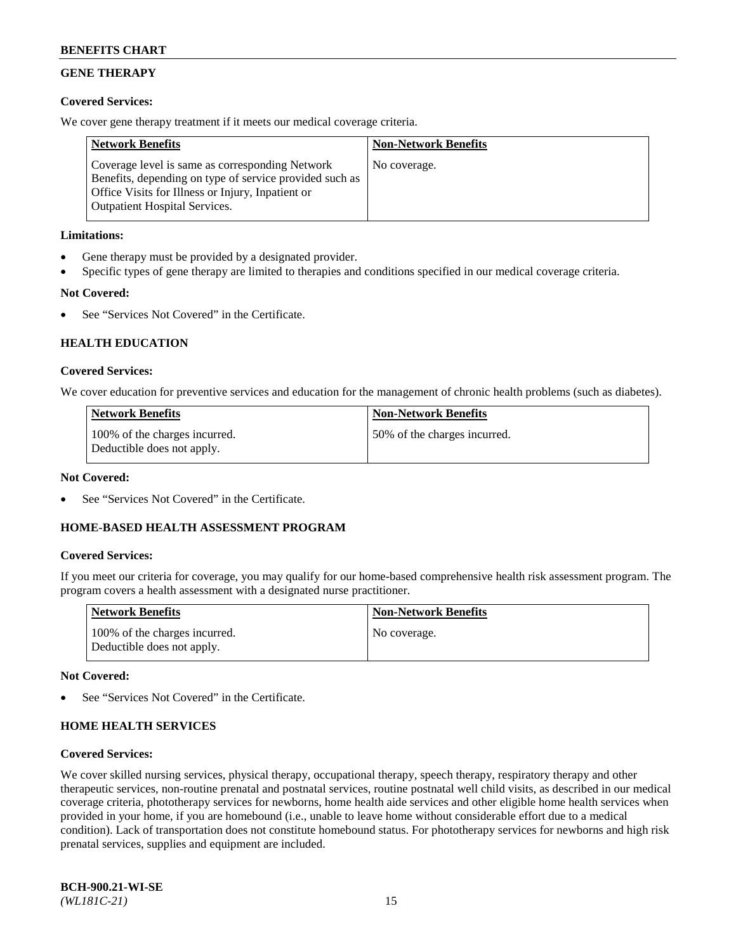## **GENE THERAPY**

## **Covered Services:**

We cover gene therapy treatment if it meets our medical coverage criteria.

| <b>Network Benefits</b>                                                                                                                                                                                 | <b>Non-Network Benefits</b> |
|---------------------------------------------------------------------------------------------------------------------------------------------------------------------------------------------------------|-----------------------------|
| Coverage level is same as corresponding Network<br>Benefits, depending on type of service provided such as<br>Office Visits for Illness or Injury, Inpatient or<br><b>Outpatient Hospital Services.</b> | No coverage.                |

## **Limitations:**

- Gene therapy must be provided by a designated provider.
- Specific types of gene therapy are limited to therapies and conditions specified in our medical coverage criteria.

## **Not Covered:**

See "Services Not Covered" in the Certificate.

## **HEALTH EDUCATION**

### **Covered Services:**

We cover education for preventive services and education for the management of chronic health problems (such as diabetes).

| <b>Network Benefits</b>                                     | <b>Non-Network Benefits</b>  |
|-------------------------------------------------------------|------------------------------|
| 100% of the charges incurred.<br>Deductible does not apply. | 50% of the charges incurred. |

#### **Not Covered:**

See "Services Not Covered" in the Certificate.

## **HOME-BASED HEALTH ASSESSMENT PROGRAM**

#### **Covered Services:**

If you meet our criteria for coverage, you may qualify for our home-based comprehensive health risk assessment program. The program covers a health assessment with a designated nurse practitioner.

| Network Benefits                                            | <b>Non-Network Benefits</b> |
|-------------------------------------------------------------|-----------------------------|
| 100% of the charges incurred.<br>Deductible does not apply. | No coverage.                |

### **Not Covered:**

See "Services Not Covered" in the Certificate.

## **HOME HEALTH SERVICES**

#### **Covered Services:**

We cover skilled nursing services, physical therapy, occupational therapy, speech therapy, respiratory therapy and other therapeutic services, non-routine prenatal and postnatal services, routine postnatal well child visits, as described in our medical coverage criteria, phototherapy services for newborns, home health aide services and other eligible home health services when provided in your home, if you are homebound (i.e., unable to leave home without considerable effort due to a medical condition). Lack of transportation does not constitute homebound status. For phototherapy services for newborns and high risk prenatal services, supplies and equipment are included.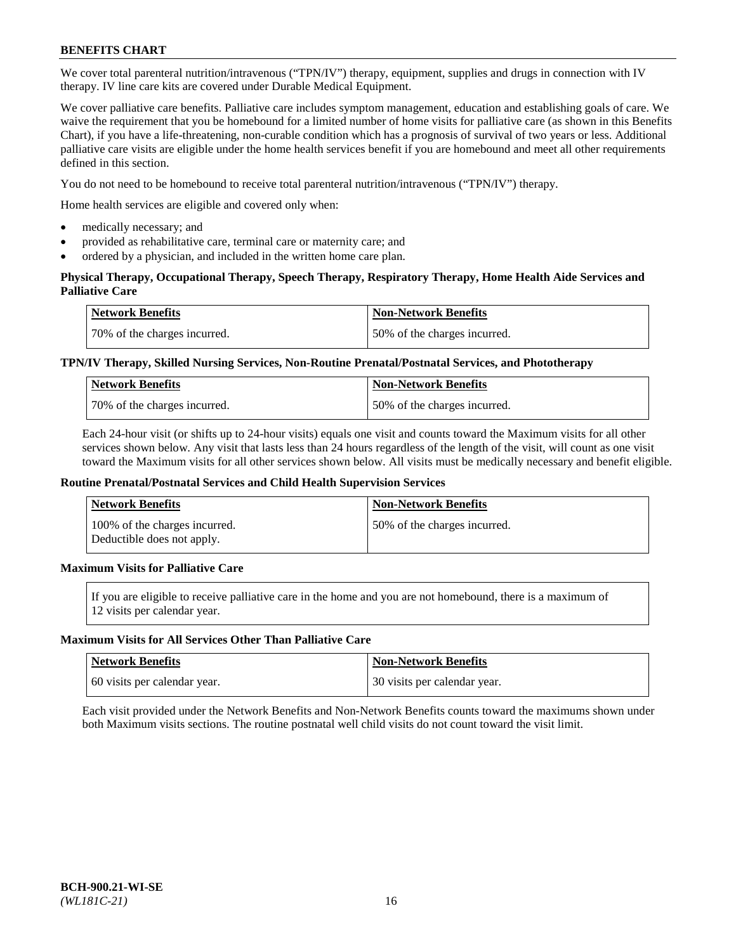We cover total parenteral nutrition/intravenous ("TPN/IV") therapy, equipment, supplies and drugs in connection with IV therapy. IV line care kits are covered under Durable Medical Equipment.

We cover palliative care benefits. Palliative care includes symptom management, education and establishing goals of care. We waive the requirement that you be homebound for a limited number of home visits for palliative care (as shown in this Benefits Chart), if you have a life-threatening, non-curable condition which has a prognosis of survival of two years or less. Additional palliative care visits are eligible under the home health services benefit if you are homebound and meet all other requirements defined in this section.

You do not need to be homebound to receive total parenteral nutrition/intravenous ("TPN/IV") therapy.

Home health services are eligible and covered only when:

- medically necessary; and
- provided as rehabilitative care, terminal care or maternity care; and
- ordered by a physician, and included in the written home care plan.

## **Physical Therapy, Occupational Therapy, Speech Therapy, Respiratory Therapy, Home Health Aide Services and Palliative Care**

| Network Benefits             | <b>Non-Network Benefits</b>  |
|------------------------------|------------------------------|
| 70% of the charges incurred. | 50% of the charges incurred. |

## **TPN/IV Therapy, Skilled Nursing Services, Non-Routine Prenatal/Postnatal Services, and Phototherapy**

| <b>Network Benefits</b>       | <b>Non-Network Benefits</b>  |
|-------------------------------|------------------------------|
| 170% of the charges incurred. | 50% of the charges incurred. |

Each 24-hour visit (or shifts up to 24-hour visits) equals one visit and counts toward the Maximum visits for all other services shown below. Any visit that lasts less than 24 hours regardless of the length of the visit, will count as one visit toward the Maximum visits for all other services shown below. All visits must be medically necessary and benefit eligible.

#### **Routine Prenatal/Postnatal Services and Child Health Supervision Services**

| <b>Network Benefits</b>                                     | <b>Non-Network Benefits</b>  |
|-------------------------------------------------------------|------------------------------|
| 100% of the charges incurred.<br>Deductible does not apply. | 50% of the charges incurred. |

## **Maximum Visits for Palliative Care**

If you are eligible to receive palliative care in the home and you are not homebound, there is a maximum of 12 visits per calendar year.

#### **Maximum Visits for All Services Other Than Palliative Care**

| Network Benefits             | <b>Non-Network Benefits</b>    |
|------------------------------|--------------------------------|
| 60 visits per calendar year. | 1 30 visits per calendar year. |

Each visit provided under the Network Benefits and Non-Network Benefits counts toward the maximums shown under both Maximum visits sections. The routine postnatal well child visits do not count toward the visit limit.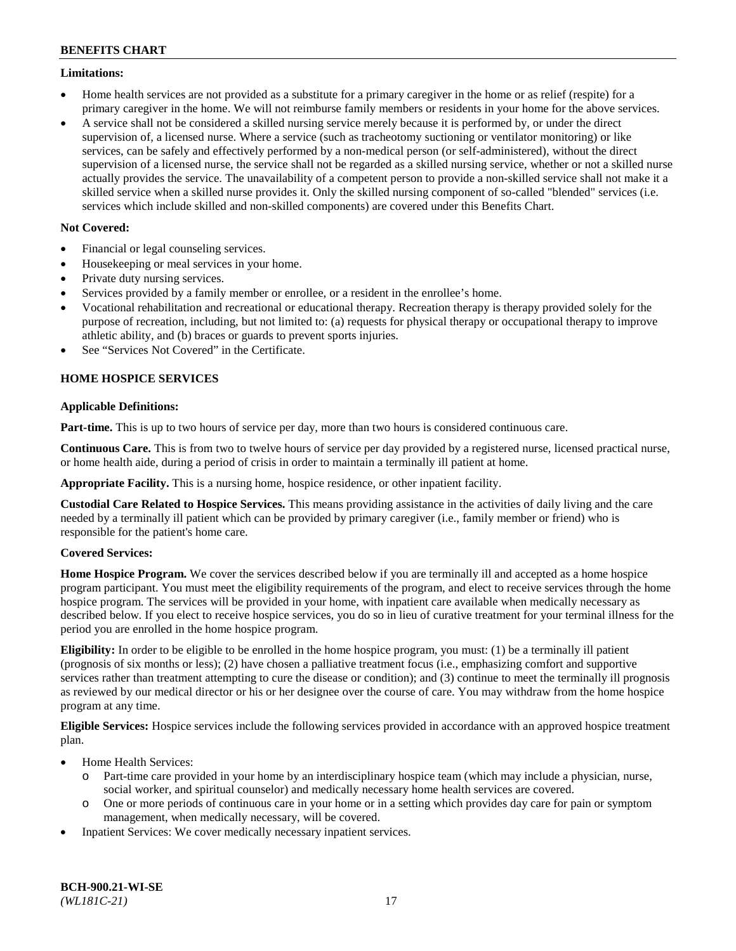## **Limitations:**

- Home health services are not provided as a substitute for a primary caregiver in the home or as relief (respite) for a primary caregiver in the home. We will not reimburse family members or residents in your home for the above services.
- A service shall not be considered a skilled nursing service merely because it is performed by, or under the direct supervision of, a licensed nurse. Where a service (such as tracheotomy suctioning or ventilator monitoring) or like services, can be safely and effectively performed by a non-medical person (or self-administered), without the direct supervision of a licensed nurse, the service shall not be regarded as a skilled nursing service, whether or not a skilled nurse actually provides the service. The unavailability of a competent person to provide a non-skilled service shall not make it a skilled service when a skilled nurse provides it. Only the skilled nursing component of so-called "blended" services (i.e. services which include skilled and non-skilled components) are covered under this Benefits Chart.

## **Not Covered:**

- Financial or legal counseling services.
- Housekeeping or meal services in your home.
- Private duty nursing services.
- Services provided by a family member or enrollee, or a resident in the enrollee's home.
- Vocational rehabilitation and recreational or educational therapy. Recreation therapy is therapy provided solely for the purpose of recreation, including, but not limited to: (a) requests for physical therapy or occupational therapy to improve athletic ability, and (b) braces or guards to prevent sports injuries.
- See "Services Not Covered" in the Certificate.

## **HOME HOSPICE SERVICES**

## **Applicable Definitions:**

**Part-time.** This is up to two hours of service per day, more than two hours is considered continuous care.

**Continuous Care.** This is from two to twelve hours of service per day provided by a registered nurse, licensed practical nurse, or home health aide, during a period of crisis in order to maintain a terminally ill patient at home.

**Appropriate Facility.** This is a nursing home, hospice residence, or other inpatient facility.

**Custodial Care Related to Hospice Services.** This means providing assistance in the activities of daily living and the care needed by a terminally ill patient which can be provided by primary caregiver (i.e., family member or friend) who is responsible for the patient's home care.

## **Covered Services:**

**Home Hospice Program.** We cover the services described below if you are terminally ill and accepted as a home hospice program participant. You must meet the eligibility requirements of the program, and elect to receive services through the home hospice program. The services will be provided in your home, with inpatient care available when medically necessary as described below. If you elect to receive hospice services, you do so in lieu of curative treatment for your terminal illness for the period you are enrolled in the home hospice program.

**Eligibility:** In order to be eligible to be enrolled in the home hospice program, you must: (1) be a terminally ill patient (prognosis of six months or less); (2) have chosen a palliative treatment focus (i.e., emphasizing comfort and supportive services rather than treatment attempting to cure the disease or condition); and (3) continue to meet the terminally ill prognosis as reviewed by our medical director or his or her designee over the course of care. You may withdraw from the home hospice program at any time.

**Eligible Services:** Hospice services include the following services provided in accordance with an approved hospice treatment plan.

- Home Health Services:
	- o Part-time care provided in your home by an interdisciplinary hospice team (which may include a physician, nurse, social worker, and spiritual counselor) and medically necessary home health services are covered.
	- o One or more periods of continuous care in your home or in a setting which provides day care for pain or symptom management, when medically necessary, will be covered.
- Inpatient Services: We cover medically necessary inpatient services.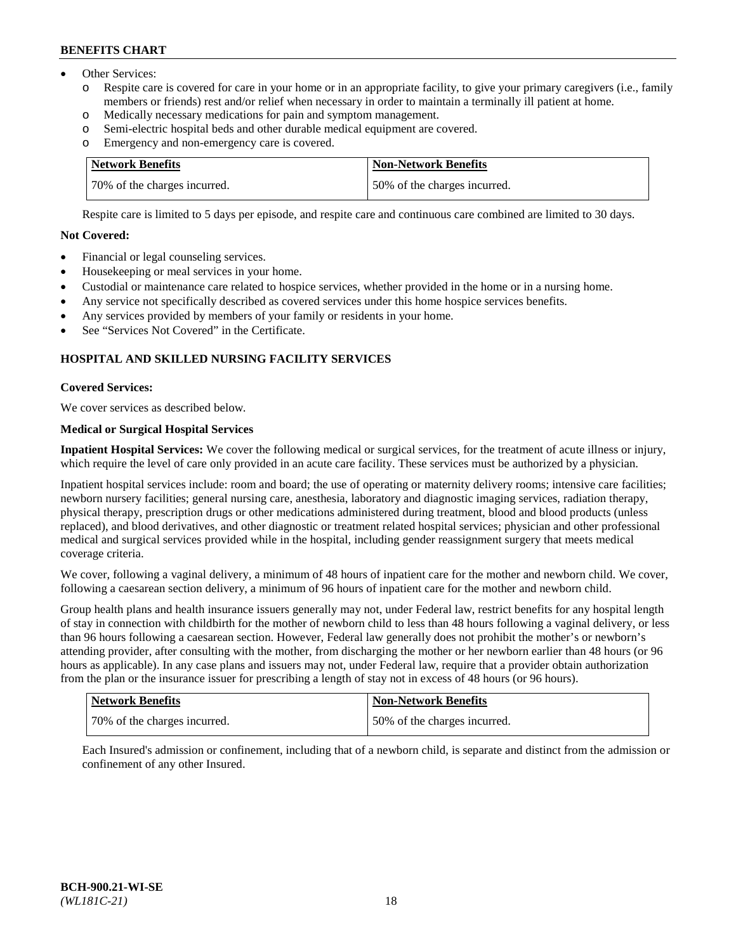- Other Services:
	- Respite care is covered for care in your home or in an appropriate facility, to give your primary caregivers (i.e., family members or friends) rest and/or relief when necessary in order to maintain a terminally ill patient at home.
	- o Medically necessary medications for pain and symptom management.
	- o Semi-electric hospital beds and other durable medical equipment are covered.
	- Emergency and non-emergency care is covered.

| Network Benefits             | Non-Network Benefits         |
|------------------------------|------------------------------|
| 70% of the charges incurred. | 50% of the charges incurred. |

Respite care is limited to 5 days per episode, and respite care and continuous care combined are limited to 30 days.

## **Not Covered:**

- Financial or legal counseling services.
- Housekeeping or meal services in your home.
- Custodial or maintenance care related to hospice services, whether provided in the home or in a nursing home.
- Any service not specifically described as covered services under this home hospice services benefits.
- Any services provided by members of your family or residents in your home.
- See "Services Not Covered" in the Certificate.

## **HOSPITAL AND SKILLED NURSING FACILITY SERVICES**

## **Covered Services:**

We cover services as described below.

## **Medical or Surgical Hospital Services**

**Inpatient Hospital Services:** We cover the following medical or surgical services, for the treatment of acute illness or injury, which require the level of care only provided in an acute care facility. These services must be authorized by a physician.

Inpatient hospital services include: room and board; the use of operating or maternity delivery rooms; intensive care facilities; newborn nursery facilities; general nursing care, anesthesia, laboratory and diagnostic imaging services, radiation therapy, physical therapy, prescription drugs or other medications administered during treatment, blood and blood products (unless replaced), and blood derivatives, and other diagnostic or treatment related hospital services; physician and other professional medical and surgical services provided while in the hospital, including gender reassignment surgery that meets medical coverage criteria.

We cover, following a vaginal delivery, a minimum of 48 hours of inpatient care for the mother and newborn child. We cover, following a caesarean section delivery, a minimum of 96 hours of inpatient care for the mother and newborn child.

Group health plans and health insurance issuers generally may not, under Federal law, restrict benefits for any hospital length of stay in connection with childbirth for the mother of newborn child to less than 48 hours following a vaginal delivery, or less than 96 hours following a caesarean section. However, Federal law generally does not prohibit the mother's or newborn's attending provider, after consulting with the mother, from discharging the mother or her newborn earlier than 48 hours (or 96 hours as applicable). In any case plans and issuers may not, under Federal law, require that a provider obtain authorization from the plan or the insurance issuer for prescribing a length of stay not in excess of 48 hours (or 96 hours).

| Network Benefits             | Non-Network Benefits         |
|------------------------------|------------------------------|
| 70% of the charges incurred. | 50% of the charges incurred. |

Each Insured's admission or confinement, including that of a newborn child, is separate and distinct from the admission or confinement of any other Insured.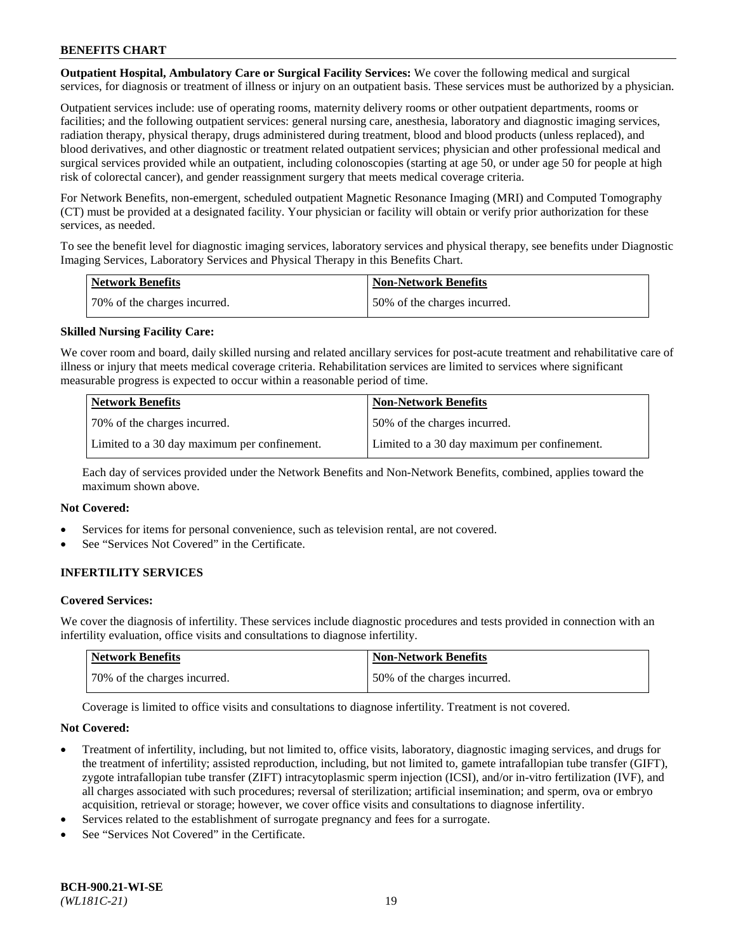**Outpatient Hospital, Ambulatory Care or Surgical Facility Services:** We cover the following medical and surgical services, for diagnosis or treatment of illness or injury on an outpatient basis. These services must be authorized by a physician.

Outpatient services include: use of operating rooms, maternity delivery rooms or other outpatient departments, rooms or facilities; and the following outpatient services: general nursing care, anesthesia, laboratory and diagnostic imaging services, radiation therapy, physical therapy, drugs administered during treatment, blood and blood products (unless replaced), and blood derivatives, and other diagnostic or treatment related outpatient services; physician and other professional medical and surgical services provided while an outpatient, including colonoscopies (starting at age 50, or under age 50 for people at high risk of colorectal cancer), and gender reassignment surgery that meets medical coverage criteria.

For Network Benefits, non-emergent, scheduled outpatient Magnetic Resonance Imaging (MRI) and Computed Tomography (CT) must be provided at a designated facility. Your physician or facility will obtain or verify prior authorization for these services, as needed.

To see the benefit level for diagnostic imaging services, laboratory services and physical therapy, see benefits under Diagnostic Imaging Services, Laboratory Services and Physical Therapy in this Benefits Chart.

| <b>Network Benefits</b>      | <b>Non-Network Benefits</b>  |
|------------------------------|------------------------------|
| 70% of the charges incurred. | 50% of the charges incurred. |

## **Skilled Nursing Facility Care:**

We cover room and board, daily skilled nursing and related ancillary services for post-acute treatment and rehabilitative care of illness or injury that meets medical coverage criteria. Rehabilitation services are limited to services where significant measurable progress is expected to occur within a reasonable period of time.

| <b>Network Benefits</b>                      | <b>Non-Network Benefits</b>                  |
|----------------------------------------------|----------------------------------------------|
| 70\% of the charges incurred.                | 150% of the charges incurred.                |
| Limited to a 30 day maximum per confinement. | Limited to a 30 day maximum per confinement. |

Each day of services provided under the Network Benefits and Non-Network Benefits, combined, applies toward the maximum shown above.

#### **Not Covered:**

- Services for items for personal convenience, such as television rental, are not covered.
- See "Services Not Covered" in the Certificate.

## **INFERTILITY SERVICES**

#### **Covered Services:**

We cover the diagnosis of infertility. These services include diagnostic procedures and tests provided in connection with an infertility evaluation, office visits and consultations to diagnose infertility.

| Network Benefits             | <b>Non-Network Benefits</b>  |
|------------------------------|------------------------------|
| 70% of the charges incurred. | 50% of the charges incurred. |

Coverage is limited to office visits and consultations to diagnose infertility. Treatment is not covered.

#### **Not Covered:**

- Treatment of infertility, including, but not limited to, office visits, laboratory, diagnostic imaging services, and drugs for the treatment of infertility; assisted reproduction, including, but not limited to, gamete intrafallopian tube transfer (GIFT), zygote intrafallopian tube transfer (ZIFT) intracytoplasmic sperm injection (ICSI), and/or in-vitro fertilization (IVF), and all charges associated with such procedures; reversal of sterilization; artificial insemination; and sperm, ova or embryo acquisition, retrieval or storage; however, we cover office visits and consultations to diagnose infertility.
- Services related to the establishment of surrogate pregnancy and fees for a surrogate.
- See "Services Not Covered" in the Certificate.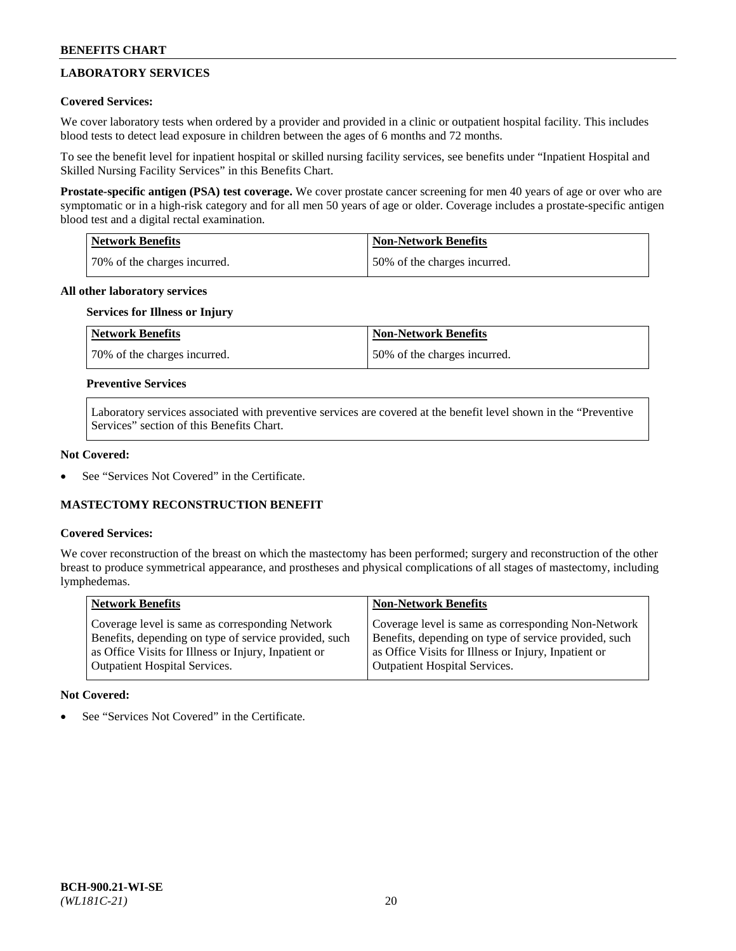## **LABORATORY SERVICES**

## **Covered Services:**

We cover laboratory tests when ordered by a provider and provided in a clinic or outpatient hospital facility. This includes blood tests to detect lead exposure in children between the ages of 6 months and 72 months.

To see the benefit level for inpatient hospital or skilled nursing facility services, see benefits under "Inpatient Hospital and Skilled Nursing Facility Services" in this Benefits Chart.

**Prostate-specific antigen (PSA) test coverage.** We cover prostate cancer screening for men 40 years of age or over who are symptomatic or in a high-risk category and for all men 50 years of age or older. Coverage includes a prostate-specific antigen blood test and a digital rectal examination.

| Network Benefits             | <b>Non-Network Benefits</b>  |
|------------------------------|------------------------------|
| 70% of the charges incurred. | 50% of the charges incurred. |

### **All other laboratory services**

## **Services for Illness or Injury**

| <b>Network Benefits</b>      | Non-Network Benefits         |
|------------------------------|------------------------------|
| 70% of the charges incurred. | 50% of the charges incurred. |

## **Preventive Services**

Laboratory services associated with preventive services are covered at the benefit level shown in the "Preventive Services" section of this Benefits Chart.

#### **Not Covered:**

See "Services Not Covered" in the Certificate.

## **MASTECTOMY RECONSTRUCTION BENEFIT**

#### **Covered Services:**

We cover reconstruction of the breast on which the mastectomy has been performed; surgery and reconstruction of the other breast to produce symmetrical appearance, and prostheses and physical complications of all stages of mastectomy, including lymphedemas.

| <b>Network Benefits</b>                               | <b>Non-Network Benefits</b>                           |
|-------------------------------------------------------|-------------------------------------------------------|
| Coverage level is same as corresponding Network       | Coverage level is same as corresponding Non-Network   |
| Benefits, depending on type of service provided, such | Benefits, depending on type of service provided, such |
| as Office Visits for Illness or Injury, Inpatient or  | as Office Visits for Illness or Injury, Inpatient or  |
| Outpatient Hospital Services.                         | Outpatient Hospital Services.                         |

#### **Not Covered:**

See "Services Not Covered" in the Certificate.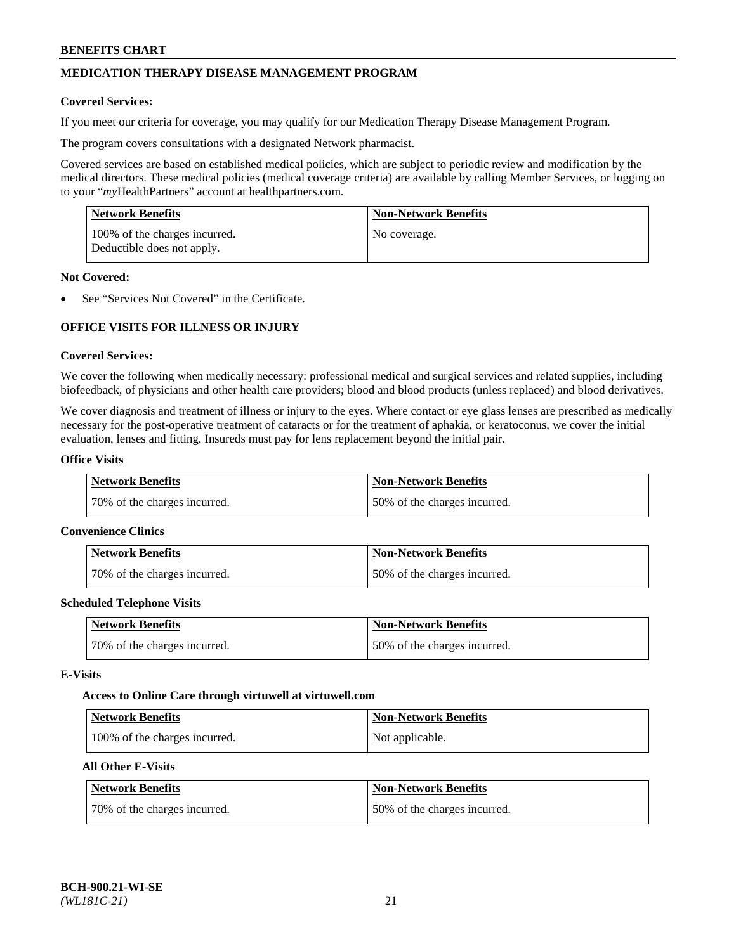## **MEDICATION THERAPY DISEASE MANAGEMENT PROGRAM**

### **Covered Services:**

If you meet our criteria for coverage, you may qualify for our Medication Therapy Disease Management Program.

The program covers consultations with a designated Network pharmacist.

Covered services are based on established medical policies, which are subject to periodic review and modification by the medical directors. These medical policies (medical coverage criteria) are available by calling Member Services, or logging on to your "*my*HealthPartners" account at [healthpartners.com.](http://www.healthpartners.com/)

| Network Benefits                                            | <b>Non-Network Benefits</b> |
|-------------------------------------------------------------|-----------------------------|
| 100% of the charges incurred.<br>Deductible does not apply. | No coverage.                |

### **Not Covered:**

See "Services Not Covered" in the Certificate.

## **OFFICE VISITS FOR ILLNESS OR INJURY**

### **Covered Services:**

We cover the following when medically necessary: professional medical and surgical services and related supplies, including biofeedback, of physicians and other health care providers; blood and blood products (unless replaced) and blood derivatives.

We cover diagnosis and treatment of illness or injury to the eyes. Where contact or eye glass lenses are prescribed as medically necessary for the post-operative treatment of cataracts or for the treatment of aphakia, or keratoconus, we cover the initial evaluation, lenses and fitting. Insureds must pay for lens replacement beyond the initial pair.

## **Office Visits**

| <b>Network Benefits</b>      | <b>Non-Network Benefits</b>  |
|------------------------------|------------------------------|
| 70% of the charges incurred. | 50% of the charges incurred. |

#### **Convenience Clinics**

| Network Benefits             | <b>Non-Network Benefits</b>  |
|------------------------------|------------------------------|
| 70% of the charges incurred. | 50% of the charges incurred. |

#### **Scheduled Telephone Visits**

| <b>Network Benefits</b>      | <b>Non-Network Benefits</b>  |
|------------------------------|------------------------------|
| 70% of the charges incurred. | 50% of the charges incurred. |

#### **E-Visits**

#### **Access to Online Care through virtuwell a[t virtuwell.com](https://www.virtuwell.com/)**

| Network Benefits              | <b>Non-Network Benefits</b> |
|-------------------------------|-----------------------------|
| 100% of the charges incurred. | Not applicable.             |

## **All Other E-Visits**

| <b>Network Benefits</b>      | <b>Non-Network Benefits</b>  |
|------------------------------|------------------------------|
| 70% of the charges incurred. | 50% of the charges incurred. |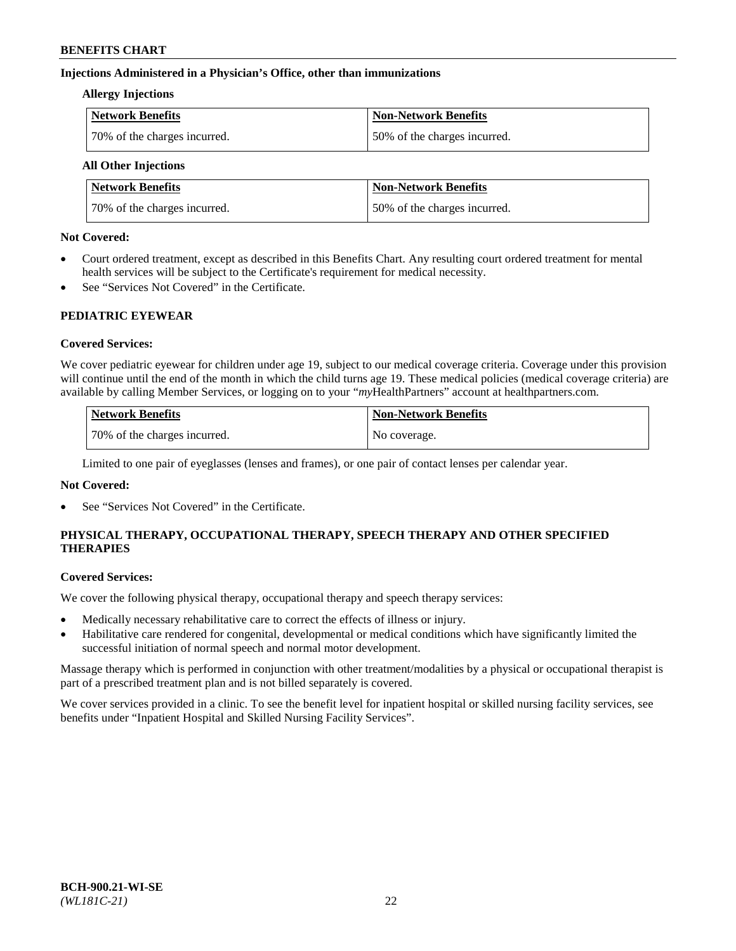## **Injections Administered in a Physician's Office, other than immunizations**

#### **Allergy Injections**

| <b>Network Benefits</b>      | <b>Non-Network Benefits</b>  |
|------------------------------|------------------------------|
| 70% of the charges incurred. | 50% of the charges incurred. |

## **All Other Injections**

| <b>Network Benefits</b>      | <b>Non-Network Benefits</b>  |
|------------------------------|------------------------------|
| 70% of the charges incurred. | 50% of the charges incurred. |

### **Not Covered:**

- Court ordered treatment, except as described in this Benefits Chart. Any resulting court ordered treatment for mental health services will be subject to the Certificate's requirement for medical necessity.
- See "Services Not Covered" in the Certificate.

## **PEDIATRIC EYEWEAR**

## **Covered Services:**

We cover pediatric eyewear for children under age 19, subject to our medical coverage criteria. Coverage under this provision will continue until the end of the month in which the child turns age 19. These medical policies (medical coverage criteria) are available by calling Member Services, or logging on to your "*my*HealthPartners" account a[t healthpartners.com.](https://www.healthpartners.com/hp/index.html)

| Network Benefits             | <b>Non-Network Benefits</b> |
|------------------------------|-----------------------------|
| 70% of the charges incurred. | No coverage.                |

Limited to one pair of eyeglasses (lenses and frames), or one pair of contact lenses per calendar year.

## **Not Covered:**

See "Services Not Covered" in the Certificate.

## **PHYSICAL THERAPY, OCCUPATIONAL THERAPY, SPEECH THERAPY AND OTHER SPECIFIED THERAPIES**

#### **Covered Services:**

We cover the following physical therapy, occupational therapy and speech therapy services:

- Medically necessary rehabilitative care to correct the effects of illness or injury.
- Habilitative care rendered for congenital, developmental or medical conditions which have significantly limited the successful initiation of normal speech and normal motor development.

Massage therapy which is performed in conjunction with other treatment/modalities by a physical or occupational therapist is part of a prescribed treatment plan and is not billed separately is covered.

We cover services provided in a clinic. To see the benefit level for inpatient hospital or skilled nursing facility services, see benefits under "Inpatient Hospital and Skilled Nursing Facility Services".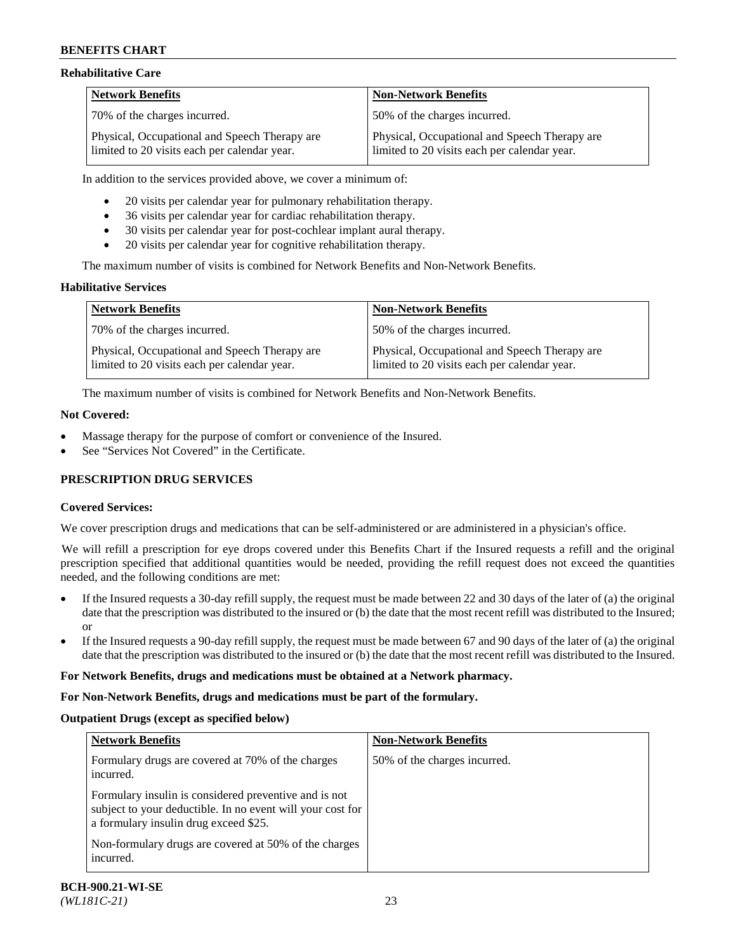## **Rehabilitative Care**

| <b>Network Benefits</b>                                                                       | <b>Non-Network Benefits</b>                                                                   |
|-----------------------------------------------------------------------------------------------|-----------------------------------------------------------------------------------------------|
| 70% of the charges incurred.                                                                  | 150% of the charges incurred.                                                                 |
| Physical, Occupational and Speech Therapy are<br>limited to 20 visits each per calendar year. | Physical, Occupational and Speech Therapy are<br>limited to 20 visits each per calendar year. |

In addition to the services provided above, we cover a minimum of:

- 20 visits per calendar year for pulmonary rehabilitation therapy.
- 36 visits per calendar year for cardiac rehabilitation therapy.
- 30 visits per calendar year for post-cochlear implant aural therapy.
- 20 visits per calendar year for cognitive rehabilitation therapy.

The maximum number of visits is combined for Network Benefits and Non-Network Benefits.

## **Habilitative Services**

| <b>Network Benefits</b>                                                                       | <b>Non-Network Benefits</b>                                                                   |
|-----------------------------------------------------------------------------------------------|-----------------------------------------------------------------------------------------------|
| 70% of the charges incurred.                                                                  | 50% of the charges incurred.                                                                  |
| Physical, Occupational and Speech Therapy are<br>limited to 20 visits each per calendar year. | Physical, Occupational and Speech Therapy are<br>limited to 20 visits each per calendar year. |

The maximum number of visits is combined for Network Benefits and Non-Network Benefits.

## **Not Covered:**

- Massage therapy for the purpose of comfort or convenience of the Insured.
- See "Services Not Covered" in the Certificate.

## **PRESCRIPTION DRUG SERVICES**

## **Covered Services:**

We cover prescription drugs and medications that can be self-administered or are administered in a physician's office.

We will refill a prescription for eye drops covered under this Benefits Chart if the Insured requests a refill and the original prescription specified that additional quantities would be needed, providing the refill request does not exceed the quantities needed, and the following conditions are met:

- If the Insured requests a 30-day refill supply, the request must be made between 22 and 30 days of the later of (a) the original date that the prescription was distributed to the insured or (b) the date that the most recent refill was distributed to the Insured; or
- If the Insured requests a 90-day refill supply, the request must be made between 67 and 90 days of the later of (a) the original date that the prescription was distributed to the insured or (b) the date that the most recent refill was distributed to the Insured.

## **For Network Benefits, drugs and medications must be obtained at a Network pharmacy.**

# **For Non-Network Benefits, drugs and medications must be part of the formulary.**

# **Outpatient Drugs (except as specified below)**

| <b>Network Benefits</b>                                                                                                                                                                                               | <b>Non-Network Benefits</b>  |
|-----------------------------------------------------------------------------------------------------------------------------------------------------------------------------------------------------------------------|------------------------------|
| Formulary drugs are covered at 70% of the charges<br>incurred.                                                                                                                                                        | 50% of the charges incurred. |
| Formulary insulin is considered preventive and is not<br>subject to your deductible. In no event will your cost for<br>a formulary insulin drug exceed \$25.<br>Non-formulary drugs are covered at 50% of the charges |                              |
| incurred.                                                                                                                                                                                                             |                              |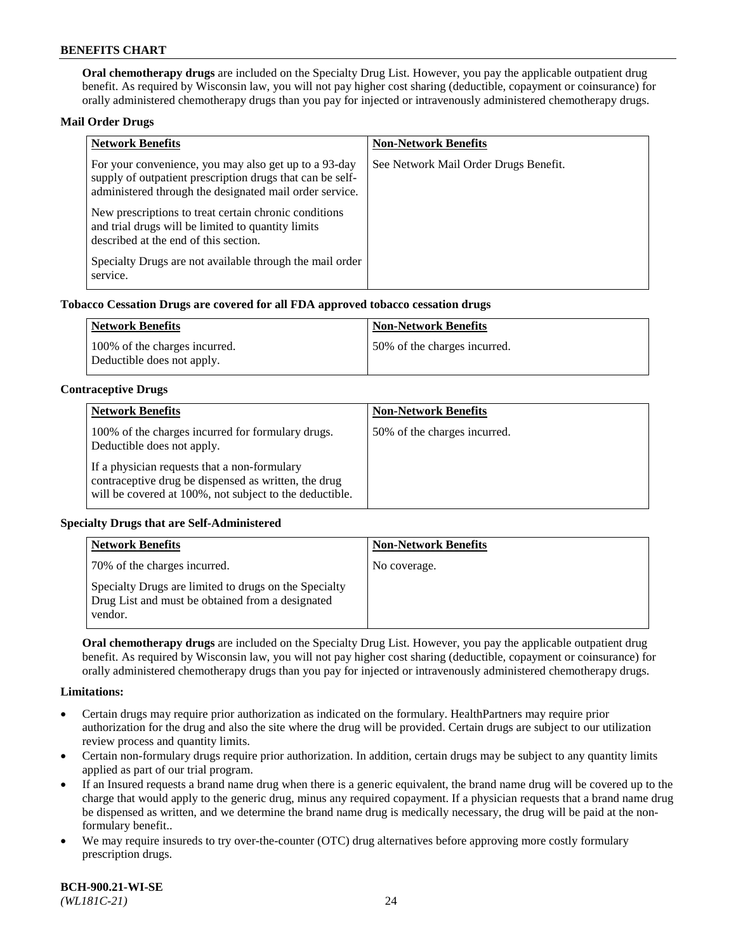**Oral chemotherapy drugs** are included on the Specialty Drug List. However, you pay the applicable outpatient drug benefit. As required by Wisconsin law, you will not pay higher cost sharing (deductible, copayment or coinsurance) for orally administered chemotherapy drugs than you pay for injected or intravenously administered chemotherapy drugs.

### **Mail Order Drugs**

| <b>Network Benefits</b>                                                                                                                                                       | <b>Non-Network Benefits</b>           |
|-------------------------------------------------------------------------------------------------------------------------------------------------------------------------------|---------------------------------------|
| For your convenience, you may also get up to a 93-day<br>supply of outpatient prescription drugs that can be self-<br>administered through the designated mail order service. | See Network Mail Order Drugs Benefit. |
| New prescriptions to treat certain chronic conditions<br>and trial drugs will be limited to quantity limits<br>described at the end of this section.                          |                                       |
| Specialty Drugs are not available through the mail order<br>service.                                                                                                          |                                       |

### **Tobacco Cessation Drugs are covered for all FDA approved tobacco cessation drugs**

| Network Benefits                                            | Non-Network Benefits         |
|-------------------------------------------------------------|------------------------------|
| 100% of the charges incurred.<br>Deductible does not apply. | 50% of the charges incurred. |

### **Contraceptive Drugs**

| <b>Network Benefits</b>                                                                                                                                         | <b>Non-Network Benefits</b>  |
|-----------------------------------------------------------------------------------------------------------------------------------------------------------------|------------------------------|
| 100% of the charges incurred for formulary drugs.<br>Deductible does not apply.                                                                                 | 50% of the charges incurred. |
| If a physician requests that a non-formulary<br>contraceptive drug be dispensed as written, the drug<br>will be covered at 100%, not subject to the deductible. |                              |

## **Specialty Drugs that are Self-Administered**

| <b>Network Benefits</b>                                                                                              | <b>Non-Network Benefits</b> |
|----------------------------------------------------------------------------------------------------------------------|-----------------------------|
| 70% of the charges incurred.                                                                                         | No coverage.                |
| Specialty Drugs are limited to drugs on the Specialty<br>Drug List and must be obtained from a designated<br>vendor. |                             |

**Oral chemotherapy drugs** are included on the Specialty Drug List. However, you pay the applicable outpatient drug benefit. As required by Wisconsin law, you will not pay higher cost sharing (deductible, copayment or coinsurance) for orally administered chemotherapy drugs than you pay for injected or intravenously administered chemotherapy drugs.

#### **Limitations:**

- Certain drugs may require prior authorization as indicated on the formulary. HealthPartners may require prior authorization for the drug and also the site where the drug will be provided. Certain drugs are subject to our utilization review process and quantity limits.
- Certain non-formulary drugs require prior authorization. In addition, certain drugs may be subject to any quantity limits applied as part of our trial program.
- If an Insured requests a brand name drug when there is a generic equivalent, the brand name drug will be covered up to the charge that would apply to the generic drug, minus any required copayment. If a physician requests that a brand name drug be dispensed as written, and we determine the brand name drug is medically necessary, the drug will be paid at the nonformulary benefit..
- We may require insureds to try over-the-counter (OTC) drug alternatives before approving more costly formulary prescription drugs.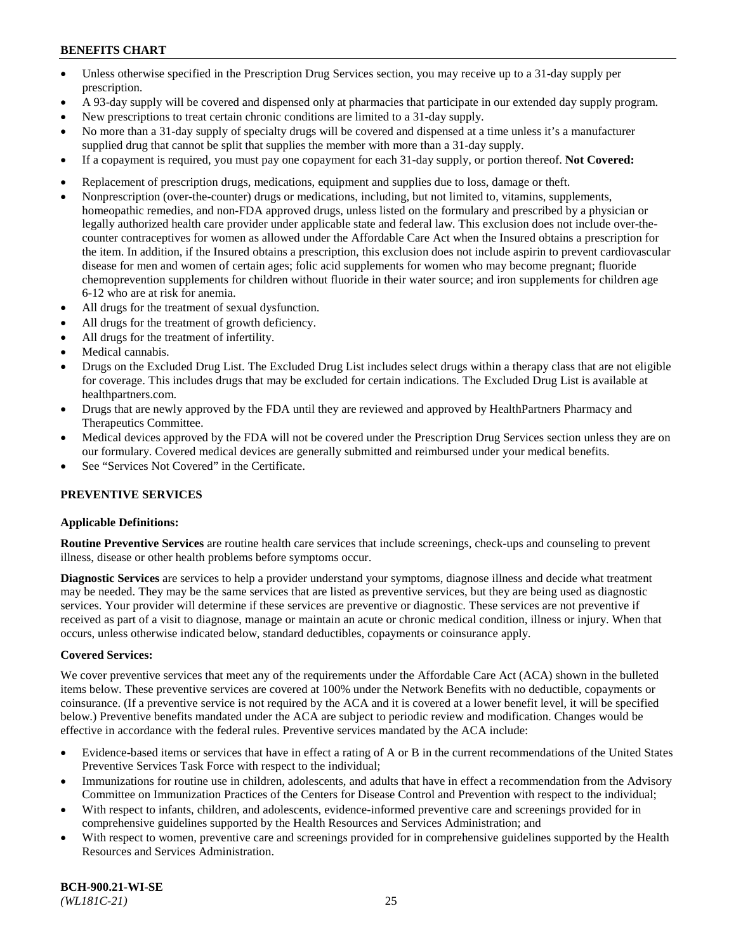- Unless otherwise specified in the Prescription Drug Services section, you may receive up to a 31-day supply per prescription.
- A 93-day supply will be covered and dispensed only at pharmacies that participate in our extended day supply program.
- New prescriptions to treat certain chronic conditions are limited to a 31-day supply.
- No more than a 31-day supply of specialty drugs will be covered and dispensed at a time unless it's a manufacturer supplied drug that cannot be split that supplies the member with more than a 31-day supply.
- If a copayment is required, you must pay one copayment for each 31-day supply, or portion thereof. **Not Covered:**
- Replacement of prescription drugs, medications, equipment and supplies due to loss, damage or theft.
- Nonprescription (over-the-counter) drugs or medications, including, but not limited to, vitamins, supplements, homeopathic remedies, and non-FDA approved drugs, unless listed on the formulary and prescribed by a physician or legally authorized health care provider under applicable state and federal law. This exclusion does not include over-thecounter contraceptives for women as allowed under the Affordable Care Act when the Insured obtains a prescription for the item. In addition, if the Insured obtains a prescription, this exclusion does not include aspirin to prevent cardiovascular disease for men and women of certain ages; folic acid supplements for women who may become pregnant; fluoride chemoprevention supplements for children without fluoride in their water source; and iron supplements for children age 6-12 who are at risk for anemia.
- All drugs for the treatment of sexual dysfunction.
- All drugs for the treatment of growth deficiency.
- All drugs for the treatment of infertility.
- Medical cannabis.
- Drugs on the Excluded Drug List. The Excluded Drug List includes select drugs within a therapy class that are not eligible for coverage. This includes drugs that may be excluded for certain indications. The Excluded Drug List is available at [healthpartners.com.](http://www.healthpartners.com/)
- Drugs that are newly approved by the FDA until they are reviewed and approved by HealthPartners Pharmacy and Therapeutics Committee.
- Medical devices approved by the FDA will not be covered under the Prescription Drug Services section unless they are on our formulary. Covered medical devices are generally submitted and reimbursed under your medical benefits.
- See "Services Not Covered" in the Certificate.

## **PREVENTIVE SERVICES**

#### **Applicable Definitions:**

**Routine Preventive Services** are routine health care services that include screenings, check-ups and counseling to prevent illness, disease or other health problems before symptoms occur.

**Diagnostic Services** are services to help a provider understand your symptoms, diagnose illness and decide what treatment may be needed. They may be the same services that are listed as preventive services, but they are being used as diagnostic services. Your provider will determine if these services are preventive or diagnostic. These services are not preventive if received as part of a visit to diagnose, manage or maintain an acute or chronic medical condition, illness or injury. When that occurs, unless otherwise indicated below, standard deductibles, copayments or coinsurance apply.

#### **Covered Services:**

We cover preventive services that meet any of the requirements under the Affordable Care Act (ACA) shown in the bulleted items below. These preventive services are covered at 100% under the Network Benefits with no deductible, copayments or coinsurance. (If a preventive service is not required by the ACA and it is covered at a lower benefit level, it will be specified below.) Preventive benefits mandated under the ACA are subject to periodic review and modification. Changes would be effective in accordance with the federal rules. Preventive services mandated by the ACA include:

- Evidence-based items or services that have in effect a rating of A or B in the current recommendations of the United States Preventive Services Task Force with respect to the individual;
- Immunizations for routine use in children, adolescents, and adults that have in effect a recommendation from the Advisory Committee on Immunization Practices of the Centers for Disease Control and Prevention with respect to the individual;
- With respect to infants, children, and adolescents, evidence-informed preventive care and screenings provided for in comprehensive guidelines supported by the Health Resources and Services Administration; and
- With respect to women, preventive care and screenings provided for in comprehensive guidelines supported by the Health Resources and Services Administration.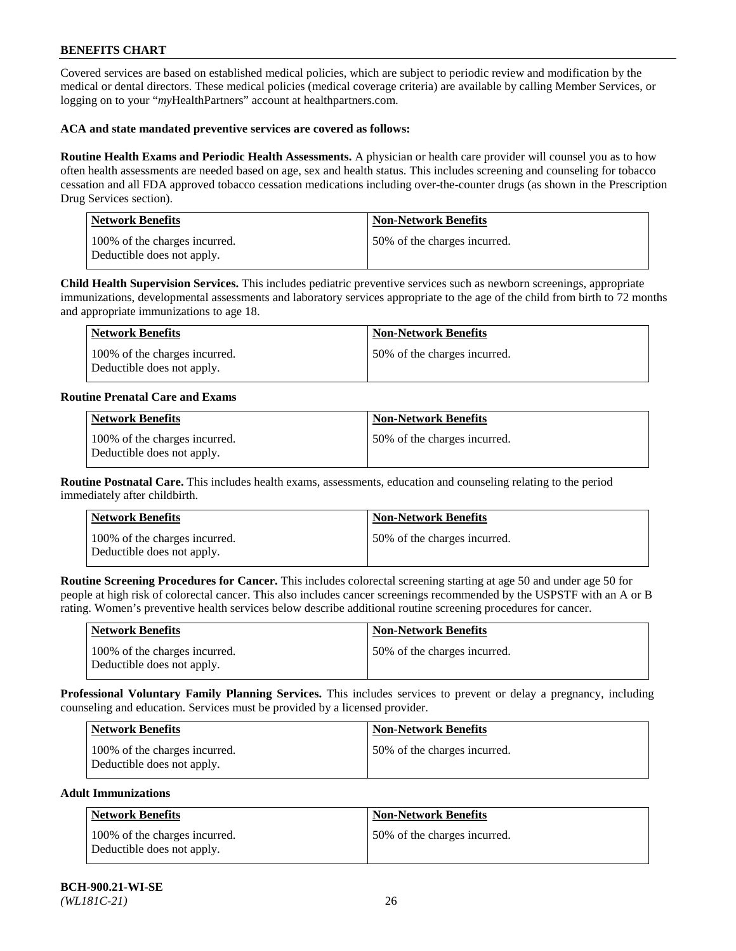Covered services are based on established medical policies, which are subject to periodic review and modification by the medical or dental directors. These medical policies (medical coverage criteria) are available by calling Member Services, or logging on to your "*my*HealthPartners" account at [healthpartners.com.](https://www.healthpartners.com/hp/index.html)

### **ACA and state mandated preventive services are covered as follows:**

**Routine Health Exams and Periodic Health Assessments.** A physician or health care provider will counsel you as to how often health assessments are needed based on age, sex and health status. This includes screening and counseling for tobacco cessation and all FDA approved tobacco cessation medications including over-the-counter drugs (as shown in the Prescription Drug Services section).

| <b>Network Benefits</b>                                     | <b>Non-Network Benefits</b>  |
|-------------------------------------------------------------|------------------------------|
| 100% of the charges incurred.<br>Deductible does not apply. | 50% of the charges incurred. |

**Child Health Supervision Services.** This includes pediatric preventive services such as newborn screenings, appropriate immunizations, developmental assessments and laboratory services appropriate to the age of the child from birth to 72 months and appropriate immunizations to age 18.

| Network Benefits                                            | Non-Network Benefits         |
|-------------------------------------------------------------|------------------------------|
| 100% of the charges incurred.<br>Deductible does not apply. | 50% of the charges incurred. |

### **Routine Prenatal Care and Exams**

| <b>Network Benefits</b>                                     | <b>Non-Network Benefits</b>  |
|-------------------------------------------------------------|------------------------------|
| 100% of the charges incurred.<br>Deductible does not apply. | 50% of the charges incurred. |

**Routine Postnatal Care.** This includes health exams, assessments, education and counseling relating to the period immediately after childbirth.

| Network Benefits                                            | <b>Non-Network Benefits</b>  |
|-------------------------------------------------------------|------------------------------|
| 100% of the charges incurred.<br>Deductible does not apply. | 50% of the charges incurred. |

**Routine Screening Procedures for Cancer.** This includes colorectal screening starting at age 50 and under age 50 for people at high risk of colorectal cancer. This also includes cancer screenings recommended by the USPSTF with an A or B rating. Women's preventive health services below describe additional routine screening procedures for cancer.

| <b>Network Benefits</b>                                     | Non-Network Benefits         |
|-------------------------------------------------------------|------------------------------|
| 100% of the charges incurred.<br>Deductible does not apply. | 50% of the charges incurred. |

**Professional Voluntary Family Planning Services.** This includes services to prevent or delay a pregnancy, including counseling and education. Services must be provided by a licensed provider.

| <b>Network Benefits</b>                                     | <b>Non-Network Benefits</b>   |
|-------------------------------------------------------------|-------------------------------|
| 100% of the charges incurred.<br>Deductible does not apply. | 150% of the charges incurred. |

### **Adult Immunizations**

| Network Benefits                                            | <b>Non-Network Benefits</b>  |
|-------------------------------------------------------------|------------------------------|
| 100% of the charges incurred.<br>Deductible does not apply. | 50% of the charges incurred. |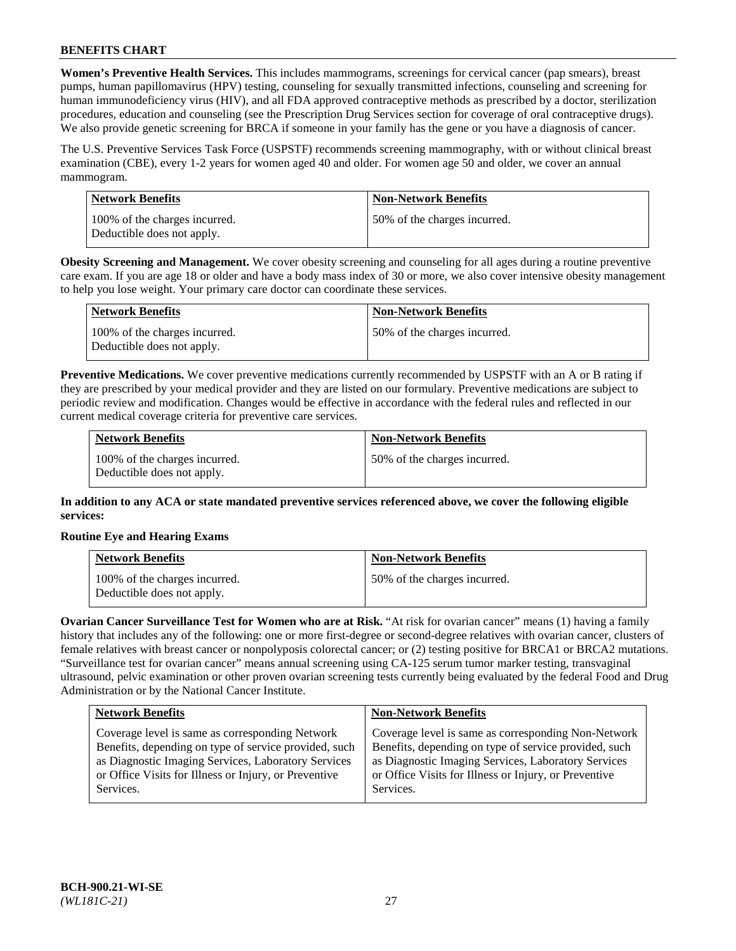**Women's Preventive Health Services.** This includes mammograms, screenings for cervical cancer (pap smears), breast pumps, human papillomavirus (HPV) testing, counseling for sexually transmitted infections, counseling and screening for human immunodeficiency virus (HIV), and all FDA approved contraceptive methods as prescribed by a doctor, sterilization procedures, education and counseling (see the Prescription Drug Services section for coverage of oral contraceptive drugs). We also provide genetic screening for BRCA if someone in your family has the gene or you have a diagnosis of cancer.

The U.S. Preventive Services Task Force (USPSTF) recommends screening mammography, with or without clinical breast examination (CBE), every 1-2 years for women aged 40 and older. For women age 50 and older, we cover an annual mammogram.

| Network Benefits                                            | <b>Non-Network Benefits</b>  |
|-------------------------------------------------------------|------------------------------|
| 100% of the charges incurred.<br>Deductible does not apply. | 50% of the charges incurred. |

**Obesity Screening and Management.** We cover obesity screening and counseling for all ages during a routine preventive care exam. If you are age 18 or older and have a body mass index of 30 or more, we also cover intensive obesity management to help you lose weight. Your primary care doctor can coordinate these services.

| Network Benefits                                            | <b>Non-Network Benefits</b>  |
|-------------------------------------------------------------|------------------------------|
| 100% of the charges incurred.<br>Deductible does not apply. | 50% of the charges incurred. |

**Preventive Medications.** We cover preventive medications currently recommended by USPSTF with an A or B rating if they are prescribed by your medical provider and they are listed on our formulary. Preventive medications are subject to periodic review and modification. Changes would be effective in accordance with the federal rules and reflected in our current medical coverage criteria for preventive care services.

| <b>Network Benefits</b>                                     | <b>Non-Network Benefits</b>  |
|-------------------------------------------------------------|------------------------------|
| 100% of the charges incurred.<br>Deductible does not apply. | 50% of the charges incurred. |

**In addition to any ACA or state mandated preventive services referenced above, we cover the following eligible services:**

## **Routine Eye and Hearing Exams**

| <b>Network Benefits</b>                                     | <b>Non-Network Benefits</b>  |
|-------------------------------------------------------------|------------------------------|
| 100% of the charges incurred.<br>Deductible does not apply. | 50% of the charges incurred. |

**Ovarian Cancer Surveillance Test for Women who are at Risk.** "At risk for ovarian cancer" means (1) having a family history that includes any of the following: one or more first-degree or second-degree relatives with ovarian cancer, clusters of female relatives with breast cancer or nonpolyposis colorectal cancer; or (2) testing positive for BRCA1 or BRCA2 mutations. "Surveillance test for ovarian cancer" means annual screening using CA-125 serum tumor marker testing, transvaginal ultrasound, pelvic examination or other proven ovarian screening tests currently being evaluated by the federal Food and Drug Administration or by the National Cancer Institute.

| <b>Network Benefits</b>                               | <b>Non-Network Benefits</b>                           |
|-------------------------------------------------------|-------------------------------------------------------|
| Coverage level is same as corresponding Network       | Coverage level is same as corresponding Non-Network   |
| Benefits, depending on type of service provided, such | Benefits, depending on type of service provided, such |
| as Diagnostic Imaging Services, Laboratory Services   | as Diagnostic Imaging Services, Laboratory Services   |
| or Office Visits for Illness or Injury, or Preventive | or Office Visits for Illness or Injury, or Preventive |
| Services.                                             | Services.                                             |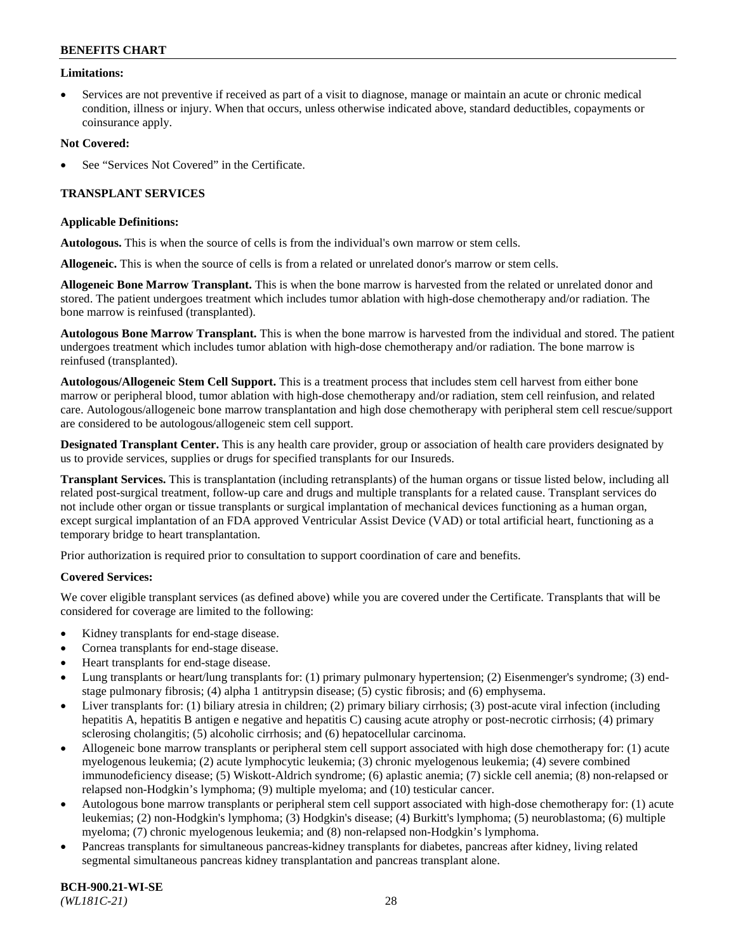### **Limitations:**

• Services are not preventive if received as part of a visit to diagnose, manage or maintain an acute or chronic medical condition, illness or injury. When that occurs, unless otherwise indicated above, standard deductibles, copayments or coinsurance apply.

### **Not Covered:**

See "Services Not Covered" in the Certificate.

## **TRANSPLANT SERVICES**

### **Applicable Definitions:**

**Autologous.** This is when the source of cells is from the individual's own marrow or stem cells.

**Allogeneic.** This is when the source of cells is from a related or unrelated donor's marrow or stem cells.

**Allogeneic Bone Marrow Transplant.** This is when the bone marrow is harvested from the related or unrelated donor and stored. The patient undergoes treatment which includes tumor ablation with high-dose chemotherapy and/or radiation. The bone marrow is reinfused (transplanted).

**Autologous Bone Marrow Transplant.** This is when the bone marrow is harvested from the individual and stored. The patient undergoes treatment which includes tumor ablation with high-dose chemotherapy and/or radiation. The bone marrow is reinfused (transplanted).

**Autologous/Allogeneic Stem Cell Support.** This is a treatment process that includes stem cell harvest from either bone marrow or peripheral blood, tumor ablation with high-dose chemotherapy and/or radiation, stem cell reinfusion, and related care. Autologous/allogeneic bone marrow transplantation and high dose chemotherapy with peripheral stem cell rescue/support are considered to be autologous/allogeneic stem cell support.

**Designated Transplant Center.** This is any health care provider, group or association of health care providers designated by us to provide services, supplies or drugs for specified transplants for our Insureds.

**Transplant Services.** This is transplantation (including retransplants) of the human organs or tissue listed below, including all related post-surgical treatment, follow-up care and drugs and multiple transplants for a related cause. Transplant services do not include other organ or tissue transplants or surgical implantation of mechanical devices functioning as a human organ, except surgical implantation of an FDA approved Ventricular Assist Device (VAD) or total artificial heart, functioning as a temporary bridge to heart transplantation.

Prior authorization is required prior to consultation to support coordination of care and benefits.

## **Covered Services:**

We cover eligible transplant services (as defined above) while you are covered under the Certificate. Transplants that will be considered for coverage are limited to the following:

- Kidney transplants for end-stage disease.
- Cornea transplants for end-stage disease.
- Heart transplants for end-stage disease.
- Lung transplants or heart/lung transplants for: (1) primary pulmonary hypertension; (2) Eisenmenger's syndrome; (3) endstage pulmonary fibrosis; (4) alpha 1 antitrypsin disease; (5) cystic fibrosis; and (6) emphysema.
- Liver transplants for: (1) biliary atresia in children; (2) primary biliary cirrhosis; (3) post-acute viral infection (including hepatitis A, hepatitis B antigen e negative and hepatitis C) causing acute atrophy or post-necrotic cirrhosis; (4) primary sclerosing cholangitis; (5) alcoholic cirrhosis; and (6) hepatocellular carcinoma.
- Allogeneic bone marrow transplants or peripheral stem cell support associated with high dose chemotherapy for: (1) acute myelogenous leukemia; (2) acute lymphocytic leukemia; (3) chronic myelogenous leukemia; (4) severe combined immunodeficiency disease; (5) Wiskott-Aldrich syndrome; (6) aplastic anemia; (7) sickle cell anemia; (8) non-relapsed or relapsed non-Hodgkin's lymphoma; (9) multiple myeloma; and (10) testicular cancer.
- Autologous bone marrow transplants or peripheral stem cell support associated with high-dose chemotherapy for: (1) acute leukemias; (2) non-Hodgkin's lymphoma; (3) Hodgkin's disease; (4) Burkitt's lymphoma; (5) neuroblastoma; (6) multiple myeloma; (7) chronic myelogenous leukemia; and (8) non-relapsed non-Hodgkin's lymphoma.
- Pancreas transplants for simultaneous pancreas-kidney transplants for diabetes, pancreas after kidney, living related segmental simultaneous pancreas kidney transplantation and pancreas transplant alone.